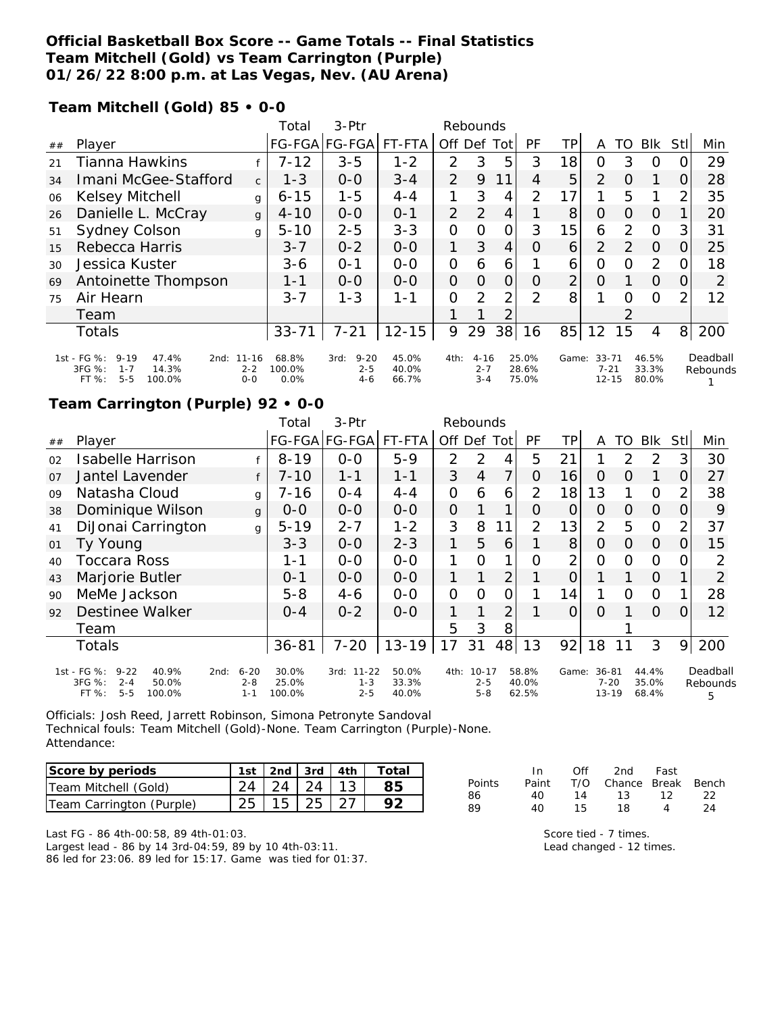### **Official Basketball Box Score -- Game Totals -- Final Statistics Team Mitchell (Gold) vs Team Carrington (Purple) 01/26/22 8:00 p.m. at Las Vegas, Nev. (AU Arena)**

**Team Mitchell (Gold) 85 • 0-0**

|    |                                                                                                            |                    | Total                   | $3-Ptr$                              |                         | Rebounds       |                                |                |                         |       |                                    |          |                         |          |                      |
|----|------------------------------------------------------------------------------------------------------------|--------------------|-------------------------|--------------------------------------|-------------------------|----------------|--------------------------------|----------------|-------------------------|-------|------------------------------------|----------|-------------------------|----------|----------------------|
| ## | Player                                                                                                     |                    |                         | FG-FGA FG-FGA FT-FTA                 |                         | Off            | Def                            | Tot            | PF                      | TР    | Α                                  | TO       | Blk                     | Stl      | Min                  |
| 21 | Tianna Hawkins                                                                                             |                    | $7 - 12$                | $3 - 5$                              | $1 - 2$                 | 2              | 3                              | 5              | 3                       | 18    | 0                                  | 3        | $\Omega$                |          | 29                   |
| 34 | Imani McGee-Stafford                                                                                       | $\mathsf{C}$       | $1 - 3$                 | $O-O$                                | $3 - 4$                 | 2              | 9                              | 11             | 4                       | 5     | 2                                  | $\Omega$ |                         | O        | 28                   |
| 06 | Kelsey Mitchell                                                                                            | g                  | $6 - 15$                | $1 - 5$                              | $4 - 4$                 | 1              | 3                              | 4              | $\overline{2}$          | 17    |                                    | 5        |                         | 2        | 35                   |
| 26 | Danielle L. McCray                                                                                         | $\mathbf{q}$       | $4 - 10$                | $0 - 0$                              | $O - 1$                 | $\mathcal{P}$  | 2                              | $\overline{4}$ |                         | 8     | $\Omega$                           | $\Omega$ | $\Omega$                |          | 20                   |
| 51 | <b>Sydney Colson</b>                                                                                       | g                  | $5 - 10$                | $2 - 5$                              | $3 - 3$                 | $\Omega$       | $\Omega$                       | 0              | 3                       | 15    | 6                                  | 2        | $\Omega$                | 3        | 31                   |
| 15 | Rebecca Harris                                                                                             |                    | $3 - 7$                 | $0 - 2$                              | $O-O$                   | 1              | 3                              | $\overline{4}$ | $\Omega$                | 6     | $\overline{2}$                     | 2        | $\Omega$                | $\Omega$ | 25                   |
| 30 | Jessica Kuster                                                                                             |                    | $3-6$                   | $O - 1$                              | $0 - 0$                 | $\overline{O}$ | 6                              | 6              |                         | 6     | $\Omega$                           | $\Omega$ | 2                       | $\Omega$ | 18                   |
| 69 | Antoinette Thompson                                                                                        |                    | 1-1                     | $0 - 0$                              | $0 - 0$                 | 0              | $\Omega$                       | $\overline{O}$ | $\Omega$                | 2     | $\Omega$                           |          | $\Omega$                | $\Omega$ | 2                    |
| 75 | Air Hearn                                                                                                  |                    | $3 - 7$                 | $1 - 3$                              | 1-1                     | O              | $\overline{2}$                 | $\overline{2}$ | 2                       | 8     |                                    | $\Omega$ | $\Omega$                | 2        | 12                   |
|    | Team                                                                                                       |                    |                         |                                      |                         |                |                                |                |                         |       |                                    | 2        |                         |          |                      |
|    | Totals                                                                                                     |                    | $33 - 71$               | $7 - 21$                             | $12 - 15$               | 9              | 29                             | 38             | 16                      | 85    | 12                                 | 15       | 4                       | 8        | 200                  |
|    | 1st - FG %:<br>$9 - 19$<br>47.4%<br>2nd: 11-16<br>3FG %:<br>14.3%<br>$1 - 7$<br>$5 - 5$<br>FT %:<br>100.0% | $2 - 2$<br>$0 - 0$ | 68.8%<br>100.0%<br>0.0% | $9 - 20$<br>3rd:<br>$2 - 5$<br>$4-6$ | 45.0%<br>40.0%<br>66.7% | 4th:           | $4 - 16$<br>$2 - 7$<br>$3 - 4$ |                | 25.0%<br>28.6%<br>75.0% | Game: | $33 - 71$<br>$7 - 21$<br>$12 - 15$ |          | 46.5%<br>33.3%<br>80.0% |          | Deadball<br>Rebounds |

### **Team Carrington (Purple) 92 • 0-0**

|                |                                                                                              |                 |                     | Total                    | 3-Ptr                                   |                         |                | Rebounds                        |     |                         |                |                                    |               |                         |                |                           |
|----------------|----------------------------------------------------------------------------------------------|-----------------|---------------------|--------------------------|-----------------------------------------|-------------------------|----------------|---------------------------------|-----|-------------------------|----------------|------------------------------------|---------------|-------------------------|----------------|---------------------------|
| ##             | Player                                                                                       |                 |                     |                          | FG-FGA FG-FGA                           | FT-FTA                  | Off Def        |                                 | Tot | <b>PF</b>               | TP             | A                                  | TO            | Blk                     | <b>Stll</b>    | Min                       |
| 02             | Isabelle Harrison                                                                            |                 |                     | $8 - 19$                 | $0 - 0$                                 | $5-9$                   | 2              | 2                               | 4   | 5                       | 21             |                                    | $\mathcal{P}$ | $\overline{2}$          | 3              | 30                        |
| O <sub>7</sub> | Jantel Lavender                                                                              |                 |                     | $7 - 10$                 | $1 - 1$                                 | $1 - 1$                 | 3              | $\overline{4}$                  | 7   | $\Omega$                | 16             | $\Omega$                           | 0             |                         | 0              | 27                        |
| 09             | Natasha Cloud                                                                                |                 | g                   | $7 - 16$                 | $0 - 4$                                 | $4 - 4$                 | $\overline{O}$ | 6                               | 6   | $\overline{2}$          | 18             | 13                                 |               | $\circ$                 | $\overline{2}$ | 38                        |
| 38             | Dominique Wilson                                                                             |                 | g                   | $O-O$                    | $0 - 0$                                 | $O-O$                   | $\overline{O}$ |                                 | 1   | O                       | 0              | $\Omega$                           | 0             | $\Omega$                | 0              | 9                         |
| 41             | DiJonai Carrington                                                                           |                 | g                   | $5 - 19$                 | $2 - 7$                                 | $1 - 2$                 | 3              | 8                               | 11  | 2                       | 13             | $\overline{2}$                     | 5             | $\overline{0}$          | $\overline{2}$ | 37                        |
| 01             | Ty Young                                                                                     |                 |                     | $3 - 3$                  | $0-0$                                   | $2 - 3$                 | 1              | 5                               | 6   |                         | 8              | $\Omega$                           | 0             | 0                       | 0              | 15                        |
| 40             | Toccara Ross                                                                                 |                 |                     | 1-1                      | $0 - 0$                                 | $0 - 0$                 | 1              | O                               | 1   | O                       | $\overline{2}$ | 0                                  | O             | $\circ$                 | $\Omega$       | 2                         |
| 43             | Marjorie Butler                                                                              |                 |                     | $O - 1$                  | $O-O$                                   | $0 - 0$                 | 1              |                                 | 2   |                         | 0              |                                    |               | $\Omega$                |                | $\overline{2}$            |
| 90             | MeMe Jackson                                                                                 |                 |                     | $5 - 8$                  | $4 - 6$                                 | $0 - 0$                 | 0              | $\Omega$                        | 0   |                         | 14             |                                    | $\Omega$      | $\Omega$                |                | 28                        |
| 92             | Destinee Walker                                                                              |                 |                     | $0 - 4$                  | $0 - 2$                                 | $O - O$                 | 1              |                                 | 2   |                         | $\overline{O}$ | $\Omega$                           |               | $\Omega$                | 0              | $12 \overline{ }$         |
|                | Team                                                                                         |                 |                     |                          |                                         |                         | 5              | 3                               | 8   |                         |                |                                    |               |                         |                |                           |
|                | <b>Totals</b>                                                                                |                 |                     | $36 - 81$                | $7 - 20$                                | $13 - 19$               | 17             | 31                              | 48  | 13                      | 92             | 18                                 | 11            | 3                       | 9              | 200                       |
|                | 1st - FG %:<br>$9 - 22$<br>40.9%<br>3FG %:<br>$2 - 4$<br>50.0%<br>$5 - 5$<br>FT %:<br>100.0% | 2nd:<br>$1 - 1$ | $6 - 20$<br>$2 - 8$ | 30.0%<br>25.0%<br>100.0% | $11 - 22$<br>3rd:<br>$1 - 3$<br>$2 - 5$ | 50.0%<br>33.3%<br>40.0% | 4th:           | $10 - 17$<br>$2 - 5$<br>$5 - 8$ |     | 58.8%<br>40.0%<br>62.5% | Game:          | $36 - 81$<br>$7 - 20$<br>$13 - 19$ |               | 44.4%<br>35.0%<br>68.4% |                | Deadball<br>Rebounds<br>5 |

Officials: Josh Reed, Jarrett Robinson, Simona Petronyte Sandoval Technical fouls: Team Mitchell (Gold)-None. Team Carrington (Purple)-None. Attendance:

| Score by periods         |                              |  | 1st 2nd 3rd 4th Total |
|--------------------------|------------------------------|--|-----------------------|
| Team Mitchell (Gold)     | $24$   24   24   13          |  | 85                    |
| Team Carrington (Purple) | $25 \mid 15 \mid 25 \mid 27$ |  |                       |

|        | In.   | Off | 2nd Fast               |                   |    |
|--------|-------|-----|------------------------|-------------------|----|
| Points | Paint |     | T/O Chance Break Bench |                   |    |
| 86     | 40.   |     | 14 13 12 22            |                   |    |
| 89     | 40.   | 15  | 18                     | $\mathbf{\Delta}$ | 24 |
|        |       |     |                        |                   |    |

Last FG - 86 4th-00:58, 89 4th-01:03. Largest lead - 86 by 14 3rd-04:59, 89 by 10 4th-03:11. 86 led for 23:06. 89 led for 15:17. Game was tied for 01:37. Score tied - 7 times. Lead changed - 12 times.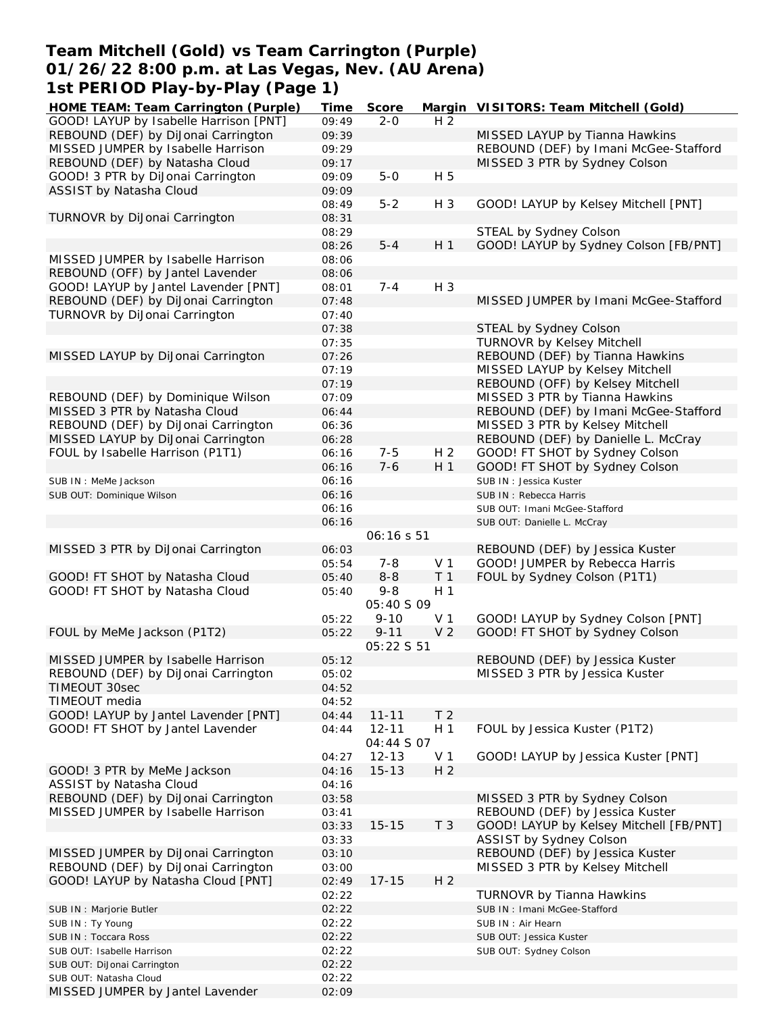### **Team Mitchell (Gold) vs Team Carrington (Purple) 01/26/22 8:00 p.m. at Las Vegas, Nev. (AU Arena) 1st PERIOD Play-by-Play (Page 1) HOME TEAM: Team Carrington (Purple) Time Score Margin VISITORS: Team Mitchell (Gold)**

| HOME TEAM: Team Carrington (Purple)    | Time  | Score             |                | Margin VISITORS: Team Mitchell (Gold)   |
|----------------------------------------|-------|-------------------|----------------|-----------------------------------------|
| GOOD! LAYUP by Isabelle Harrison [PNT] | 09:49 | $2 - 0$           | H <sub>2</sub> |                                         |
| REBOUND (DEF) by DiJonai Carrington    | 09:39 |                   |                | MISSED LAYUP by Tianna Hawkins          |
| MISSED JUMPER by Isabelle Harrison     | 09:29 |                   |                | REBOUND (DEF) by Imani McGee-Stafford   |
| REBOUND (DEF) by Natasha Cloud         | 09:17 |                   |                | MISSED 3 PTR by Sydney Colson           |
| GOOD! 3 PTR by DiJonai Carrington      | 09:09 | $5-0$             | H 5            |                                         |
| ASSIST by Natasha Cloud                | 09:09 |                   |                |                                         |
|                                        | 08:49 | $5 - 2$           | $H_3$          | GOOD! LAYUP by Kelsey Mitchell [PNT]    |
| TURNOVR by DiJonai Carrington          | 08:31 |                   |                |                                         |
|                                        | 08:29 |                   |                | STEAL by Sydney Colson                  |
|                                        | 08:26 | $5 - 4$           | H <sub>1</sub> | GOOD! LAYUP by Sydney Colson [FB/PNT]   |
| MISSED JUMPER by Isabelle Harrison     | 08:06 |                   |                |                                         |
| REBOUND (OFF) by Jantel Lavender       | 08:06 |                   |                |                                         |
| GOOD! LAYUP by Jantel Lavender [PNT]   | 08:01 | $7 - 4$           | $H_3$          |                                         |
| REBOUND (DEF) by DiJonai Carrington    |       |                   |                | MISSED JUMPER by Imani McGee-Stafford   |
|                                        | 07:48 |                   |                |                                         |
| TURNOVR by DiJonai Carrington          | 07:40 |                   |                |                                         |
|                                        | 07:38 |                   |                | STEAL by Sydney Colson                  |
|                                        | 07:35 |                   |                | <b>TURNOVR by Kelsey Mitchell</b>       |
| MISSED LAYUP by DiJonai Carrington     | 07:26 |                   |                | REBOUND (DEF) by Tianna Hawkins         |
|                                        | 07:19 |                   |                | MISSED LAYUP by Kelsey Mitchell         |
|                                        | 07:19 |                   |                | REBOUND (OFF) by Kelsey Mitchell        |
| REBOUND (DEF) by Dominique Wilson      | 07:09 |                   |                | MISSED 3 PTR by Tianna Hawkins          |
| MISSED 3 PTR by Natasha Cloud          | 06:44 |                   |                | REBOUND (DEF) by Imani McGee-Stafford   |
| REBOUND (DEF) by DiJonai Carrington    | 06:36 |                   |                | MISSED 3 PTR by Kelsey Mitchell         |
| MISSED LAYUP by DiJonai Carrington     | 06:28 |                   |                | REBOUND (DEF) by Danielle L. McCray     |
| FOUL by Isabelle Harrison (P1T1)       | 06:16 | $7 - 5$           | H <sub>2</sub> | GOOD! FT SHOT by Sydney Colson          |
|                                        | 06:16 | $7 - 6$           | H 1            | GOOD! FT SHOT by Sydney Colson          |
| SUB IN : MeMe Jackson                  | 06:16 |                   |                | SUB IN: Jessica Kuster                  |
| SUB OUT: Dominique Wilson              | 06:16 |                   |                | SUB IN: Rebecca Harris                  |
|                                        | 06:16 |                   |                |                                         |
|                                        |       |                   |                | SUB OUT: Imani McGee-Stafford           |
|                                        | 06:16 |                   |                | SUB OUT: Danielle L. McCray             |
|                                        |       | <i>06:16 s 51</i> |                |                                         |
| MISSED 3 PTR by DiJonai Carrington     | 06:03 |                   |                | REBOUND (DEF) by Jessica Kuster         |
|                                        | 05:54 | $7 - 8$           | V <sub>1</sub> | GOOD! JUMPER by Rebecca Harris          |
| GOOD! FT SHOT by Natasha Cloud         | 05:40 | $8 - 8$           | T <sub>1</sub> | FOUL by Sydney Colson (P1T1)            |
| GOOD! FT SHOT by Natasha Cloud         | 05:40 | $9 - 8$           | H <sub>1</sub> |                                         |
|                                        |       | <i>05:40 S 09</i> |                |                                         |
|                                        | 05:22 | $9 - 10$          | V <sub>1</sub> | GOOD! LAYUP by Sydney Colson [PNT]      |
| FOUL by MeMe Jackson (P1T2)            | 05:22 | $9 - 11$          | V <sub>2</sub> | GOOD! FT SHOT by Sydney Colson          |
|                                        |       | 05:22 S 51        |                |                                         |
| MISSED JUMPER by Isabelle Harrison     | 05:12 |                   |                | REBOUND (DEF) by Jessica Kuster         |
| REBOUND (DEF) by DiJonai Carrington    | 05:02 |                   |                | MISSED 3 PTR by Jessica Kuster          |
| TIMEOUT 30sec                          | 04:52 |                   |                |                                         |
| TIMEOUT media                          | 04:52 |                   |                |                                         |
| GOOD! LAYUP by Jantel Lavender [PNT]   | 04:44 | $11 - 11$         | T <sub>2</sub> |                                         |
| GOOD! FT SHOT by Jantel Lavender       | 04:44 | $12 - 11$         | H <sub>1</sub> | FOUL by Jessica Kuster (P1T2)           |
|                                        |       | 04:44 S 07        |                |                                         |
|                                        | 04:27 | $12 - 13$         | V <sub>1</sub> | GOOD! LAYUP by Jessica Kuster [PNT]     |
| GOOD! 3 PTR by MeMe Jackson            | 04:16 | $15 - 13$         | H <sub>2</sub> |                                         |
| ASSIST by Natasha Cloud                | 04:16 |                   |                |                                         |
| REBOUND (DEF) by DiJonai Carrington    | 03:58 |                   |                | MISSED 3 PTR by Sydney Colson           |
| MISSED JUMPER by Isabelle Harrison     |       |                   |                | REBOUND (DEF) by Jessica Kuster         |
|                                        | 03:41 | $15 - 15$         |                |                                         |
|                                        | 03:33 |                   | T <sub>3</sub> | GOOD! LAYUP by Kelsey Mitchell [FB/PNT] |
|                                        | 03:33 |                   |                | ASSIST by Sydney Colson                 |
| MISSED JUMPER by DiJonai Carrington    | 03:10 |                   |                | REBOUND (DEF) by Jessica Kuster         |
| REBOUND (DEF) by DiJonai Carrington    | 03:00 |                   |                | MISSED 3 PTR by Kelsey Mitchell         |
| GOOD! LAYUP by Natasha Cloud [PNT]     | 02:49 | $17 - 15$         | H <sub>2</sub> |                                         |
|                                        | 02:22 |                   |                | TURNOVR by Tianna Hawkins               |
| SUB IN : Marjorie Butler               | 02:22 |                   |                | SUB IN: Imani McGee-Stafford            |
| SUB IN: Ty Young                       | 02:22 |                   |                | SUB IN : Air Hearn                      |
| SUB IN: Toccara Ross                   | 02:22 |                   |                | SUB OUT: Jessica Kuster                 |
| SUB OUT: Isabelle Harrison             | 02:22 |                   |                | SUB OUT: Sydney Colson                  |
| SUB OUT: DiJonai Carrington            | 02:22 |                   |                |                                         |
| SUB OUT: Natasha Cloud                 | 02:22 |                   |                |                                         |
|                                        |       |                   |                |                                         |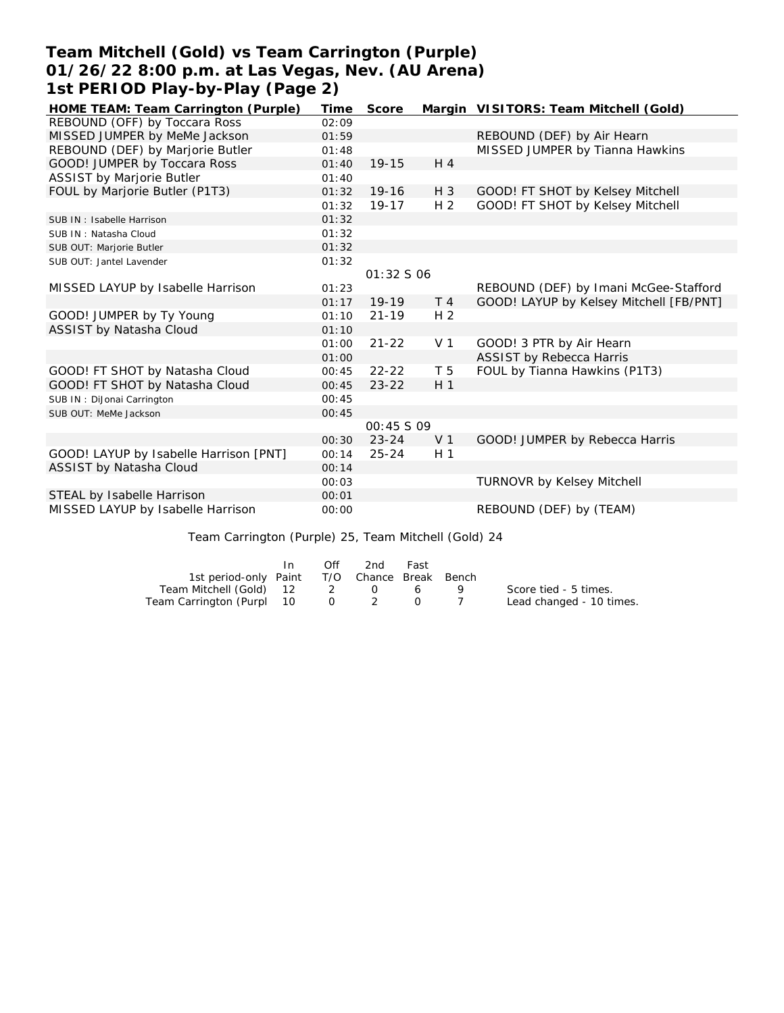# **Team Mitchell (Gold) vs Team Carrington (Purple) 01/26/22 8:00 p.m. at Las Vegas, Nev. (AU Arena) 1st PERIOD Play-by-Play (Page 2)**

| HOME TEAM: Team Carrington (Purple)                  | Time  | Score             |                | Margin VISITORS: Team Mitchell (Gold)   |  |  |  |  |  |
|------------------------------------------------------|-------|-------------------|----------------|-----------------------------------------|--|--|--|--|--|
| REBOUND (OFF) by Toccara Ross                        | 02:09 |                   |                |                                         |  |  |  |  |  |
| MISSED JUMPER by MeMe Jackson                        | 01:59 |                   |                | REBOUND (DEF) by Air Hearn              |  |  |  |  |  |
| REBOUND (DEF) by Marjorie Butler                     | 01:48 |                   |                | MISSED JUMPER by Tianna Hawkins         |  |  |  |  |  |
| GOOD! JUMPER by Toccara Ross                         | 01:40 | $19 - 15$         | H <sub>4</sub> |                                         |  |  |  |  |  |
| ASSIST by Marjorie Butler                            | 01:40 |                   |                |                                         |  |  |  |  |  |
| FOUL by Marjorie Butler (P1T3)                       | 01:32 | 19-16             | $H_3$          | GOOD! FT SHOT by Kelsey Mitchell        |  |  |  |  |  |
|                                                      | 01:32 | $19 - 17$         | H <sub>2</sub> | GOOD! FT SHOT by Kelsey Mitchell        |  |  |  |  |  |
| SUB IN: Isabelle Harrison                            | 01:32 |                   |                |                                         |  |  |  |  |  |
| SUB IN: Natasha Cloud                                | 01:32 |                   |                |                                         |  |  |  |  |  |
| SUB OUT: Marjorie Butler                             | 01:32 |                   |                |                                         |  |  |  |  |  |
| SUB OUT: Jantel Lavender                             | 01:32 |                   |                |                                         |  |  |  |  |  |
|                                                      |       | 01:32 S 06        |                |                                         |  |  |  |  |  |
| MISSED LAYUP by Isabelle Harrison                    | 01:23 |                   |                | REBOUND (DEF) by Imani McGee-Stafford   |  |  |  |  |  |
|                                                      | 01:17 | $19-19$           | T <sub>4</sub> | GOOD! LAYUP by Kelsey Mitchell [FB/PNT] |  |  |  |  |  |
| GOOD! JUMPER by Ty Young                             | 01:10 | $21 - 19$         | H <sub>2</sub> |                                         |  |  |  |  |  |
| ASSIST by Natasha Cloud                              | 01:10 |                   |                |                                         |  |  |  |  |  |
|                                                      | 01:00 | $21 - 22$         | V <sub>1</sub> | GOOD! 3 PTR by Air Hearn                |  |  |  |  |  |
|                                                      | 01:00 |                   |                | ASSIST by Rebecca Harris                |  |  |  |  |  |
| GOOD! FT SHOT by Natasha Cloud                       | 00:45 | $22 - 22$         | T 5            | FOUL by Tianna Hawkins (P1T3)           |  |  |  |  |  |
| GOOD! FT SHOT by Natasha Cloud                       | 00:45 | $23 - 22$         | H <sub>1</sub> |                                         |  |  |  |  |  |
| SUB IN: DiJonai Carrington                           | 00:45 |                   |                |                                         |  |  |  |  |  |
| SUB OUT: MeMe Jackson                                | 00:45 |                   |                |                                         |  |  |  |  |  |
|                                                      |       | <i>00:45 S 09</i> |                |                                         |  |  |  |  |  |
|                                                      | 00:30 | $23 - 24$         | V <sub>1</sub> | GOOD! JUMPER by Rebecca Harris          |  |  |  |  |  |
| GOOD! LAYUP by Isabelle Harrison [PNT]               | 00:14 | $25 - 24$         | H <sub>1</sub> |                                         |  |  |  |  |  |
| ASSIST by Natasha Cloud                              | 00:14 |                   |                |                                         |  |  |  |  |  |
|                                                      | 00:03 |                   |                | <b>TURNOVR by Kelsey Mitchell</b>       |  |  |  |  |  |
| STEAL by Isabelle Harrison                           | 00:01 |                   |                |                                         |  |  |  |  |  |
| MISSED LAYUP by Isabelle Harrison                    | 00:00 |                   |                | REBOUND (DEF) by (TEAM)                 |  |  |  |  |  |
|                                                      |       |                   |                |                                         |  |  |  |  |  |
| Team Carrington (Purple) 25, Team Mitchell (Gold) 24 |       |                   |                |                                         |  |  |  |  |  |

In Off 2nd Fast 1st period-only Paint T/O Chance Break Bench<br>1 Mitchell (Gold) 12 2 0 6 9<br>arrington (Purpl 10 0 2 0 7 Team Mitchell (Gold) 12 2 0<br>am Carrington (Purpl 10 0 2 Team Carrington (Purpl 10 Score tied - 5 times. Lead changed - 10 times.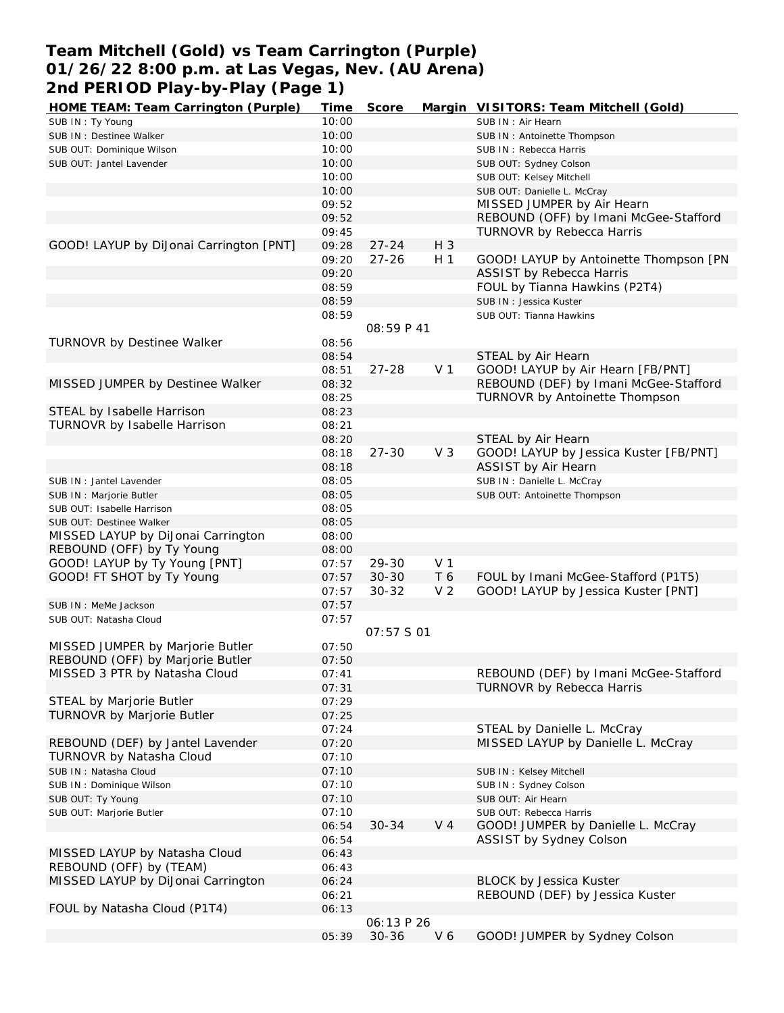# **Team Mitchell (Gold) vs Team Carrington (Purple) 01/26/22 8:00 p.m. at Las Vegas, Nev. (AU Arena) 2nd PERIOD Play-by-Play (Page 1)**

| HOME TEAM: Team Carrington (Purple)     | Time  | Score      |                | Margin VISITORS: Team Mitchell (Gold)  |
|-----------------------------------------|-------|------------|----------------|----------------------------------------|
| SUB IN: Ty Young                        | 10:00 |            |                | SUB IN: Air Hearn                      |
| SUB IN : Destinee Walker                | 10:00 |            |                | SUB IN: Antoinette Thompson            |
| SUB OUT: Dominique Wilson               | 10:00 |            |                | SUB IN: Rebecca Harris                 |
| SUB OUT: Jantel Lavender                | 10:00 |            |                | SUB OUT: Sydney Colson                 |
|                                         | 10:00 |            |                | SUB OUT: Kelsey Mitchell               |
|                                         | 10:00 |            |                | SUB OUT: Danielle L. McCray            |
|                                         | 09:52 |            |                | MISSED JUMPER by Air Hearn             |
|                                         | 09:52 |            |                | REBOUND (OFF) by Imani McGee-Stafford  |
|                                         | 09:45 |            |                | <b>TURNOVR by Rebecca Harris</b>       |
| GOOD! LAYUP by DiJonai Carrington [PNT] | 09:28 | $27 - 24$  | H 3            |                                        |
|                                         | 09:20 | $27 - 26$  | H <sub>1</sub> | GOOD! LAYUP by Antoinette Thompson [PN |
|                                         | 09:20 |            |                | <b>ASSIST by Rebecca Harris</b>        |
|                                         |       |            |                |                                        |
|                                         | 08:59 |            |                | FOUL by Tianna Hawkins (P2T4)          |
|                                         | 08:59 |            |                | SUB IN: Jessica Kuster                 |
|                                         | 08:59 |            |                | SUB OUT: Tianna Hawkins                |
|                                         |       | 08:59 P 41 |                |                                        |
| TURNOVR by Destinee Walker              | 08:56 |            |                |                                        |
|                                         | 08:54 |            |                | STEAL by Air Hearn                     |
|                                         | 08:51 | $27 - 28$  | V <sub>1</sub> | GOOD! LAYUP by Air Hearn [FB/PNT]      |
| MISSED JUMPER by Destinee Walker        | 08:32 |            |                | REBOUND (DEF) by Imani McGee-Stafford  |
|                                         | 08:25 |            |                | TURNOVR by Antoinette Thompson         |
| STEAL by Isabelle Harrison              | 08:23 |            |                |                                        |
| TURNOVR by Isabelle Harrison            | 08:21 |            |                |                                        |
|                                         | 08:20 |            |                | STEAL by Air Hearn                     |
|                                         | 08:18 | $27 - 30$  | $V_3$          | GOOD! LAYUP by Jessica Kuster [FB/PNT] |
|                                         | 08:18 |            |                | ASSIST by Air Hearn                    |
| SUB IN: Jantel Lavender                 | 08:05 |            |                | SUB IN : Danielle L. McCray            |
| SUB IN : Marjorie Butler                | 08:05 |            |                | SUB OUT: Antoinette Thompson           |
| SUB OUT: Isabelle Harrison              | 08:05 |            |                |                                        |
| SUB OUT: Destinee Walker                | 08:05 |            |                |                                        |
| MISSED LAYUP by DiJonai Carrington      | 08:00 |            |                |                                        |
| REBOUND (OFF) by Ty Young               | 08:00 |            |                |                                        |
| GOOD! LAYUP by Ty Young [PNT]           | 07:57 | 29-30      | V <sub>1</sub> |                                        |
| GOOD! FT SHOT by Ty Young               | 07:57 | $30 - 30$  | T 6            | FOUL by Imani McGee-Stafford (P1T5)    |
|                                         | 07:57 | $30 - 32$  | V <sub>2</sub> | GOOD! LAYUP by Jessica Kuster [PNT]    |
| SUB IN : MeMe Jackson                   | 07:57 |            |                |                                        |
|                                         | 07:57 |            |                |                                        |
| SUB OUT: Natasha Cloud                  |       | 07:57 S 01 |                |                                        |
|                                         |       |            |                |                                        |
| MISSED JUMPER by Marjorie Butler        | 07:50 |            |                |                                        |
| REBOUND (OFF) by Marjorie Butler        | 07:50 |            |                |                                        |
| MISSED 3 PTR by Natasha Cloud           | 07:41 |            |                | REBOUND (DEF) by Imani McGee-Stafford  |
|                                         | 07:31 |            |                | <b>TURNOVR by Rebecca Harris</b>       |
| STEAL by Marjorie Butler                | 07:29 |            |                |                                        |
| TURNOVR by Marjorie Butler              | 07:25 |            |                |                                        |
|                                         | 07:24 |            |                | STEAL by Danielle L. McCray            |
| REBOUND (DEF) by Jantel Lavender        | 07:20 |            |                | MISSED LAYUP by Danielle L. McCray     |
| TURNOVR by Natasha Cloud                | 07:10 |            |                |                                        |
| SUB IN: Natasha Cloud                   | 07:10 |            |                | SUB IN: Kelsey Mitchell                |
| SUB IN: Dominique Wilson                | 07:10 |            |                | SUB IN: Sydney Colson                  |
| SUB OUT: Ty Young                       | 07:10 |            |                | SUB OUT: Air Hearn                     |
| SUB OUT: Marjorie Butler                | 07:10 |            |                | SUB OUT: Rebecca Harris                |
|                                         | 06:54 | $30 - 34$  | V <sub>4</sub> | GOOD! JUMPER by Danielle L. McCray     |
|                                         | 06:54 |            |                | ASSIST by Sydney Colson                |
| MISSED LAYUP by Natasha Cloud           | 06:43 |            |                |                                        |
| REBOUND (OFF) by (TEAM)                 | 06:43 |            |                |                                        |
| MISSED LAYUP by DiJonai Carrington      | 06:24 |            |                | <b>BLOCK by Jessica Kuster</b>         |
|                                         | 06:21 |            |                | REBOUND (DEF) by Jessica Kuster        |
| FOUL by Natasha Cloud (P1T4)            | 06:13 |            |                |                                        |
|                                         |       | 06:13 P 26 |                |                                        |
|                                         | 05:39 | $30 - 36$  | V6             | GOOD! JUMPER by Sydney Colson          |
|                                         |       |            |                |                                        |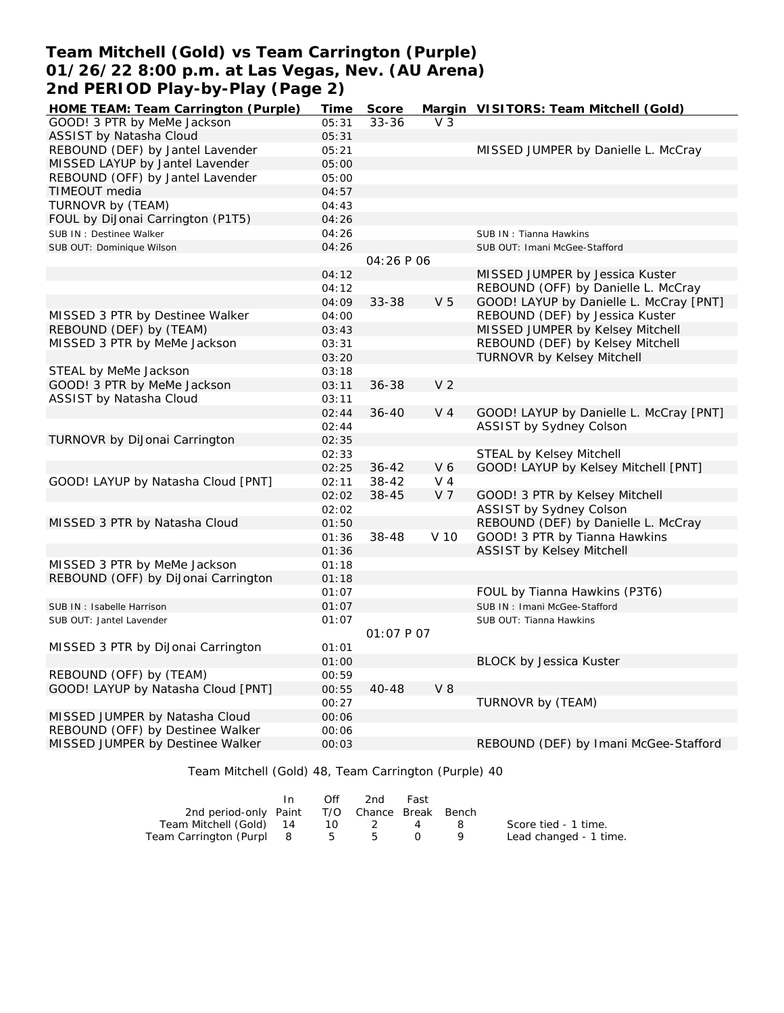### **Team Mitchell (Gold) vs Team Carrington (Purple) 01/26/22 8:00 p.m. at Las Vegas, Nev. (AU Arena) 2nd PERIOD Play-by-Play (Page 2)**

| HOME TEAM: Team Carrington (Purple) | Time  | Score      |                | Margin VISITORS: Team Mitchell (Gold)   |
|-------------------------------------|-------|------------|----------------|-----------------------------------------|
| GOOD! 3 PTR by MeMe Jackson         | 05:31 | $33 - 36$  | V <sub>3</sub> |                                         |
| ASSIST by Natasha Cloud             | 05:31 |            |                |                                         |
| REBOUND (DEF) by Jantel Lavender    | 05:21 |            |                | MISSED JUMPER by Danielle L. McCray     |
| MISSED LAYUP by Jantel Lavender     | 05:00 |            |                |                                         |
| REBOUND (OFF) by Jantel Lavender    | 05:00 |            |                |                                         |
| TIMEOUT media                       | 04:57 |            |                |                                         |
| TURNOVR by (TEAM)                   | 04:43 |            |                |                                         |
| FOUL by DiJonai Carrington (P1T5)   | 04:26 |            |                |                                         |
| SUB IN : Destinee Walker            | 04:26 |            |                | SUB IN: Tianna Hawkins                  |
| SUB OUT: Dominique Wilson           | 04:26 |            |                | SUB OUT: Imani McGee-Stafford           |
|                                     |       | 04:26 P 06 |                |                                         |
|                                     | 04:12 |            |                | MISSED JUMPER by Jessica Kuster         |
|                                     | 04:12 |            |                | REBOUND (OFF) by Danielle L. McCray     |
|                                     | 04:09 | 33-38      | V <sub>5</sub> | GOOD! LAYUP by Danielle L. McCray [PNT] |
| MISSED 3 PTR by Destinee Walker     | 04:00 |            |                | REBOUND (DEF) by Jessica Kuster         |
| REBOUND (DEF) by (TEAM)             | 03:43 |            |                | MISSED JUMPER by Kelsey Mitchell        |
| MISSED 3 PTR by MeMe Jackson        | 03:31 |            |                | REBOUND (DEF) by Kelsey Mitchell        |
|                                     | 03:20 |            |                | TURNOVR by Kelsey Mitchell              |
| STEAL by MeMe Jackson               | 03:18 |            |                |                                         |
| GOOD! 3 PTR by MeMe Jackson         | 03:11 | $36 - 38$  | V <sub>2</sub> |                                         |
| ASSIST by Natasha Cloud             | 03:11 |            |                |                                         |
|                                     | 02:44 | $36 - 40$  | V <sub>4</sub> | GOOD! LAYUP by Danielle L. McCray [PNT] |
|                                     | 02:44 |            |                | ASSIST by Sydney Colson                 |
| TURNOVR by DiJonai Carrington       | 02:35 |            |                |                                         |
|                                     | 02:33 |            |                | STEAL by Kelsey Mitchell                |
|                                     | 02:25 | $36 - 42$  | V6             | GOOD! LAYUP by Kelsey Mitchell [PNT]    |
| GOOD! LAYUP by Natasha Cloud [PNT]  | 02:11 | 38-42      | $V_4$          |                                         |
|                                     | 02:02 | 38-45      | V <sub>7</sub> | GOOD! 3 PTR by Kelsey Mitchell          |
|                                     | 02:02 |            |                | ASSIST by Sydney Colson                 |
| MISSED 3 PTR by Natasha Cloud       | 01:50 |            |                | REBOUND (DEF) by Danielle L. McCray     |
|                                     | 01:36 | 38-48      | V 10           | GOOD! 3 PTR by Tianna Hawkins           |
|                                     | 01:36 |            |                | <b>ASSIST by Kelsey Mitchell</b>        |
| MISSED 3 PTR by MeMe Jackson        | 01:18 |            |                |                                         |
| REBOUND (OFF) by DiJonai Carrington | 01:18 |            |                |                                         |
|                                     | 01:07 |            |                | FOUL by Tianna Hawkins (P3T6)           |
| SUB IN: Isabelle Harrison           | 01:07 |            |                | SUB IN: Imani McGee-Stafford            |
| SUB OUT: Jantel Lavender            | 01:07 |            |                | SUB OUT: Tianna Hawkins                 |
|                                     |       | 01:07 P 07 |                |                                         |
| MISSED 3 PTR by DiJonai Carrington  | 01:01 |            |                |                                         |
|                                     | 01:00 |            |                | <b>BLOCK by Jessica Kuster</b>          |
| REBOUND (OFF) by (TEAM)             | 00:59 |            |                |                                         |
| GOOD! LAYUP by Natasha Cloud [PNT]  | 00:55 | 40-48      | <b>V8</b>      |                                         |
|                                     | 00:27 |            |                | TURNOVR by (TEAM)                       |
| MISSED JUMPER by Natasha Cloud      | 00:06 |            |                |                                         |
| REBOUND (OFF) by Destinee Walker    | 00:06 |            |                |                                         |
| MISSED JUMPER by Destinee Walker    | 00:03 |            |                | REBOUND (DEF) by Imani McGee-Stafford   |
|                                     |       |            |                |                                         |

Team Mitchell (Gold) 48, Team Carrington (Purple) 40

|                                              | Off | 2nd | Fast |     |                        |
|----------------------------------------------|-----|-----|------|-----|------------------------|
| 2nd period-only Paint T/O Chance Break Bench |     |     |      |     |                        |
| Team Mitchell (Gold) 14                      | 10. | 2   |      | - 8 | Score tied - 1 time.   |
| Team Carrington (Purpl 8                     |     | 555 |      |     | Lead changed - 1 time. |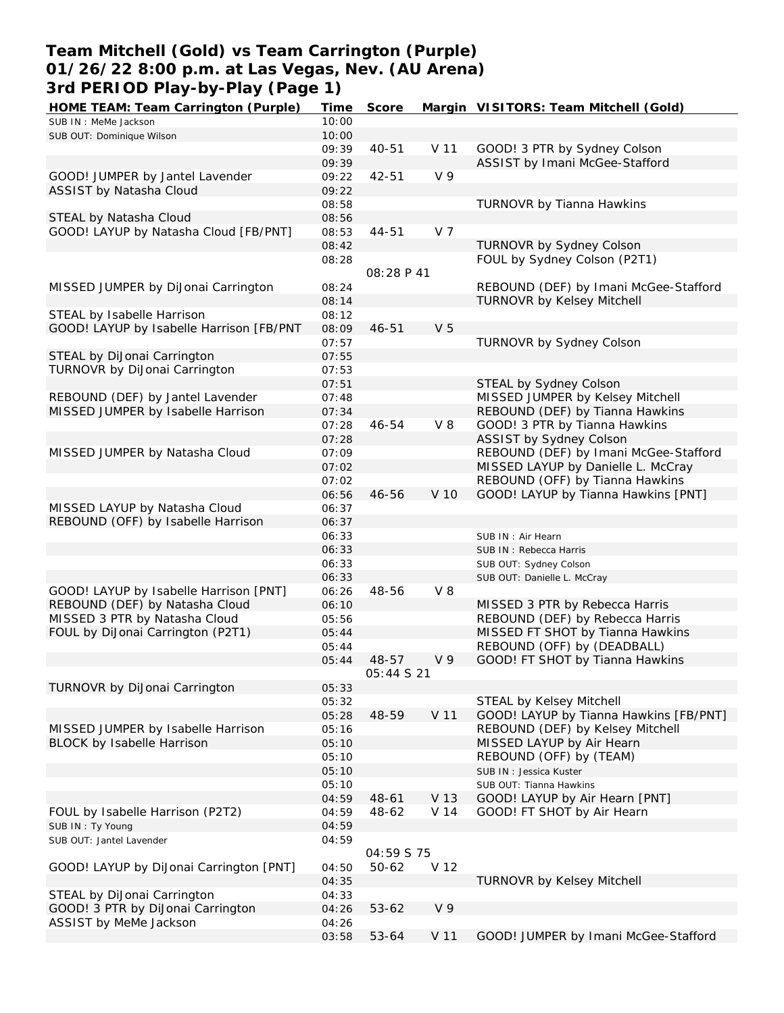# **Team Mitchell (Gold) vs Team Carrington (Purple) 01/26/22 8:00 p.m. at Las Vegas, Nev. (AU Arena) 3rd PERIOD Play-by-Play (Page 1)**

| HOME TEAM: Team Carrington (Purple)      | Time  | Score             |                 | Margin VISITORS: Team Mitchell (Gold)  |
|------------------------------------------|-------|-------------------|-----------------|----------------------------------------|
| SUB IN : MeMe Jackson                    | 10:00 |                   |                 |                                        |
| SUB OUT: Dominique Wilson                | 10:00 |                   |                 |                                        |
|                                          | 09:39 | 40-51             | V 11            | GOOD! 3 PTR by Sydney Colson           |
|                                          | 09:39 |                   |                 | ASSIST by Imani McGee-Stafford         |
| GOOD! JUMPER by Jantel Lavender          | 09:22 | 42-51             | V <sub>9</sub>  |                                        |
|                                          |       |                   |                 |                                        |
| ASSIST by Natasha Cloud                  | 09:22 |                   |                 |                                        |
|                                          | 08:58 |                   |                 | TURNOVR by Tianna Hawkins              |
| STEAL by Natasha Cloud                   | 08:56 |                   |                 |                                        |
| GOOD! LAYUP by Natasha Cloud [FB/PNT]    | 08:53 | $44 - 51$         | V <sub>7</sub>  |                                        |
|                                          | 08:42 |                   |                 | TURNOVR by Sydney Colson               |
|                                          | 08:28 |                   |                 | FOUL by Sydney Colson (P2T1)           |
|                                          |       | 08:28 P 41        |                 |                                        |
| MISSED JUMPER by DiJonai Carrington      |       |                   |                 | REBOUND (DEF) by Imani McGee-Stafford  |
|                                          | 08:24 |                   |                 |                                        |
|                                          | 08:14 |                   |                 | <b>TURNOVR by Kelsey Mitchell</b>      |
| STEAL by Isabelle Harrison               | 08:12 |                   |                 |                                        |
| GOOD! LAYUP by Isabelle Harrison [FB/PNT | 08:09 | $46 - 51$         | V <sub>5</sub>  |                                        |
|                                          | 07:57 |                   |                 | TURNOVR by Sydney Colson               |
| STEAL by DiJonai Carrington              | 07:55 |                   |                 |                                        |
| TURNOVR by DiJonai Carrington            | 07:53 |                   |                 |                                        |
|                                          |       |                   |                 | STEAL by Sydney Colson                 |
|                                          | 07:51 |                   |                 |                                        |
| REBOUND (DEF) by Jantel Lavender         | 07:48 |                   |                 | MISSED JUMPER by Kelsey Mitchell       |
| MISSED JUMPER by Isabelle Harrison       | 07:34 |                   |                 | REBOUND (DEF) by Tianna Hawkins        |
|                                          | 07:28 | 46-54             | $V_8$           | GOOD! 3 PTR by Tianna Hawkins          |
|                                          | 07:28 |                   |                 | ASSIST by Sydney Colson                |
| MISSED JUMPER by Natasha Cloud           | 07:09 |                   |                 | REBOUND (DEF) by Imani McGee-Stafford  |
|                                          | 07:02 |                   |                 | MISSED LAYUP by Danielle L. McCray     |
|                                          | 07:02 |                   |                 | REBOUND (OFF) by Tianna Hawkins        |
|                                          |       |                   |                 |                                        |
|                                          | 06:56 | 46-56             | V 10            | GOOD! LAYUP by Tianna Hawkins [PNT]    |
| MISSED LAYUP by Natasha Cloud            | 06:37 |                   |                 |                                        |
| REBOUND (OFF) by Isabelle Harrison       | 06:37 |                   |                 |                                        |
|                                          | 06:33 |                   |                 | SUB IN: Air Hearn                      |
|                                          | 06:33 |                   |                 | SUB IN: Rebecca Harris                 |
|                                          | 06:33 |                   |                 | SUB OUT: Sydney Colson                 |
|                                          | 06:33 |                   |                 | SUB OUT: Danielle L. McCray            |
|                                          |       |                   | $V_8$           |                                        |
| GOOD! LAYUP by Isabelle Harrison [PNT]   | 06:26 | 48-56             |                 |                                        |
| REBOUND (DEF) by Natasha Cloud           | 06:10 |                   |                 | MISSED 3 PTR by Rebecca Harris         |
| MISSED 3 PTR by Natasha Cloud            | 05:56 |                   |                 | REBOUND (DEF) by Rebecca Harris        |
| FOUL by DiJonai Carrington (P2T1)        | 05:44 |                   |                 | MISSED FT SHOT by Tianna Hawkins       |
|                                          | 05:44 |                   |                 | REBOUND (OFF) by (DEADBALL)            |
|                                          | 05:44 | 48-57             | V <sub>9</sub>  | GOOD! FT SHOT by Tianna Hawkins        |
|                                          |       | <i>05:44 S 21</i> |                 |                                        |
| TURNOVR by DiJonai Carrington            | 05:33 |                   |                 |                                        |
|                                          | 05:32 |                   |                 | STEAL by Kelsey Mitchell               |
|                                          |       |                   |                 |                                        |
|                                          | 05:28 | 48-59             | V <sub>11</sub> | GOOD! LAYUP by Tianna Hawkins [FB/PNT] |
| MISSED JUMPER by Isabelle Harrison       | 05:16 |                   |                 | REBOUND (DEF) by Kelsey Mitchell       |
| BLOCK by Isabelle Harrison               | 05:10 |                   |                 | MISSED LAYUP by Air Hearn              |
|                                          | 05:10 |                   |                 | REBOUND (OFF) by (TEAM)                |
|                                          | 05:10 |                   |                 | SUB IN: Jessica Kuster                 |
|                                          | 05:10 |                   |                 | SUB OUT: Tianna Hawkins                |
|                                          | 04:59 | 48-61             | V 13            | GOOD! LAYUP by Air Hearn [PNT]         |
|                                          |       |                   |                 | GOOD! FT SHOT by Air Hearn             |
| FOUL by Isabelle Harrison (P2T2)         | 04:59 | 48-62             | V 14            |                                        |
| SUB IN: Ty Young                         | 04:59 |                   |                 |                                        |
| SUB OUT: Jantel Lavender                 | 04:59 |                   |                 |                                        |
|                                          |       | 04:59 S 75        |                 |                                        |
| GOOD! LAYUP by DiJonai Carrington [PNT]  | 04:50 | 50-62             | V 12            |                                        |
|                                          | 04:35 |                   |                 | <b>TURNOVR by Kelsey Mitchell</b>      |
| STEAL by DiJonai Carrington              | 04:33 |                   |                 |                                        |
| GOOD! 3 PTR by DiJonai Carrington        | 04:26 | $53 - 62$         | V <sub>9</sub>  |                                        |
| ASSIST by MeMe Jackson                   |       |                   |                 |                                        |
|                                          | 04:26 |                   |                 |                                        |
|                                          | 03:58 | 53-64             | V 11            | GOOD! JUMPER by Imani McGee-Stafford   |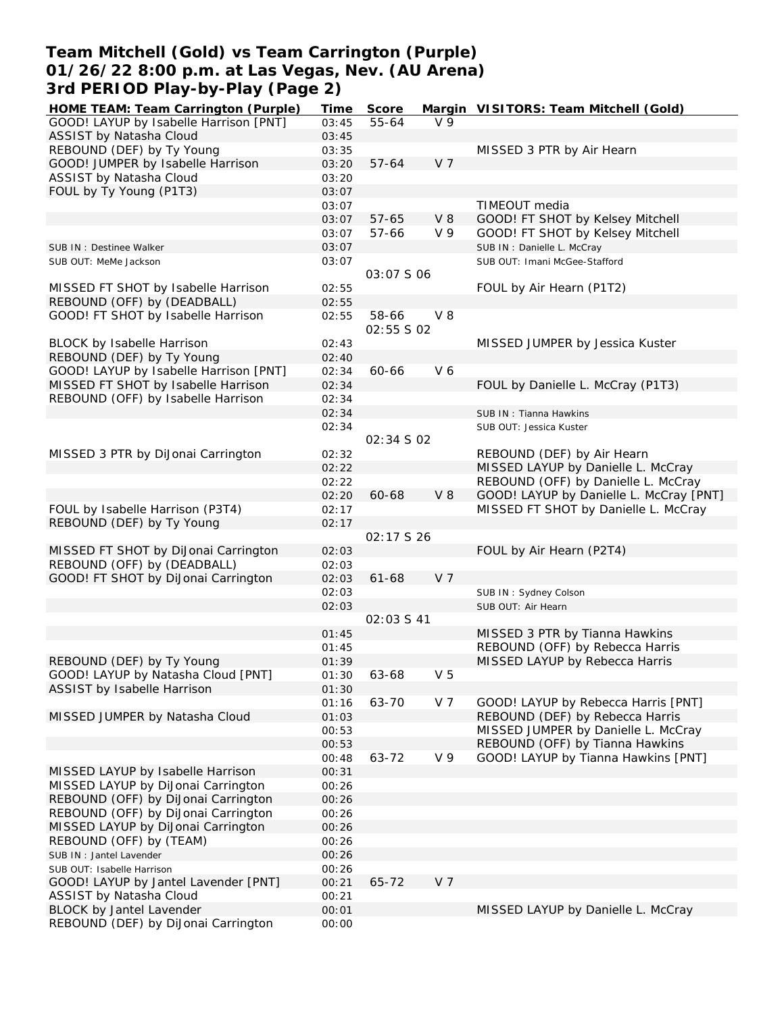### **Team Mitchell (Gold) vs Team Carrington (Purple) 01/26/22 8:00 p.m. at Las Vegas, Nev. (AU Arena) 3rd PERIOD Play-by-Play (Page 2)**

| GOOD! LAYUP by Isabelle Harrison [PNT]<br>V <sub>9</sub><br>55-64<br>03:45<br>ASSIST by Natasha Cloud<br>03:45<br>REBOUND (DEF) by Ty Young<br>MISSED 3 PTR by Air Hearn<br>03:35<br>V <sub>7</sub><br>GOOD! JUMPER by Isabelle Harrison<br>$57 - 64$<br>03:20<br>ASSIST by Natasha Cloud<br>03:20<br>FOUL by Ty Young (P1T3)<br>03:07<br>TIMEOUT media<br>03:07<br>$57 - 65$<br>$V_8$<br>GOOD! FT SHOT by Kelsey Mitchell<br>03:07<br>V <sub>9</sub><br>57-66<br>GOOD! FT SHOT by Kelsey Mitchell<br>03:07<br>03:07<br>SUB IN: Danielle L. McCray<br>SUB IN : Destinee Walker<br>03:07<br>SUB OUT: Imani McGee-Stafford<br>SUB OUT: MeMe Jackson<br>03:07 S 06<br>MISSED FT SHOT by Isabelle Harrison<br>FOUL by Air Hearn (P1T2)<br>02:55<br>REBOUND (OFF) by (DEADBALL)<br>02:55<br>GOOD! FT SHOT by Isabelle Harrison<br>$V_8$<br>58-66<br>02:55<br>02:55 S 02<br><b>BLOCK by Isabelle Harrison</b><br>MISSED JUMPER by Jessica Kuster<br>02:43<br>REBOUND (DEF) by Ty Young<br>02:40<br>V6<br>GOOD! LAYUP by Isabelle Harrison [PNT]<br>60-66<br>02:34<br>MISSED FT SHOT by Isabelle Harrison<br>FOUL by Danielle L. McCray (P1T3)<br>02:34<br>REBOUND (OFF) by Isabelle Harrison<br>02:34<br>02:34<br>SUB IN: Tianna Hawkins<br>02:34<br>SUB OUT: Jessica Kuster<br>02:34 S 02<br>MISSED 3 PTR by DiJonai Carrington<br>REBOUND (DEF) by Air Hearn<br>02:32<br>MISSED LAYUP by Danielle L. McCray<br>02:22<br>02:22<br>REBOUND (OFF) by Danielle L. McCray<br>$V_8$<br>GOOD! LAYUP by Danielle L. McCray [PNT]<br>02:20<br>60-68<br>FOUL by Isabelle Harrison (P3T4)<br>MISSED FT SHOT by Danielle L. McCray<br>02:17<br>REBOUND (DEF) by Ty Young<br>02:17<br>02:17 \$ 26<br>MISSED FT SHOT by DiJonai Carrington<br>FOUL by Air Hearn (P2T4)<br>02:03<br>REBOUND (OFF) by (DEADBALL)<br>02:03<br>GOOD! FT SHOT by DiJonai Carrington<br>02:03<br>$61 - 68$<br>V 7<br>02:03<br>SUB IN: Sydney Colson<br>02:03<br>SUB OUT: Air Hearn<br>02:03 \$ 41<br>MISSED 3 PTR by Tianna Hawkins<br>01:45<br>REBOUND (OFF) by Rebecca Harris<br>01:45<br>REBOUND (DEF) by Ty Young<br>MISSED LAYUP by Rebecca Harris<br>01:39<br>GOOD! LAYUP by Natasha Cloud [PNT]<br>01:30<br>63-68<br>V <sub>5</sub><br>ASSIST by Isabelle Harrison<br>01:30<br>V <sub>7</sub><br>63-70<br>GOOD! LAYUP by Rebecca Harris [PNT]<br>01:16<br>REBOUND (DEF) by Rebecca Harris<br>MISSED JUMPER by Natasha Cloud<br>01:03<br>MISSED JUMPER by Danielle L. McCray<br>00:53<br>REBOUND (OFF) by Tianna Hawkins<br>00:53<br>63-72<br>V <sub>9</sub><br>GOOD! LAYUP by Tianna Hawkins [PNT]<br>00:48<br>MISSED LAYUP by Isabelle Harrison<br>00:31<br>MISSED LAYUP by DiJonai Carrington<br>00:26<br>REBOUND (OFF) by DiJonai Carrington<br>00:26<br>REBOUND (OFF) by DiJonai Carrington<br>00:26<br>MISSED LAYUP by DiJonai Carrington<br>00:26<br>REBOUND (OFF) by (TEAM)<br>00:26<br>SUB IN : Jantel Lavender<br>00:26<br>00:26<br>SUB OUT: Isabelle Harrison<br>GOOD! LAYUP by Jantel Lavender [PNT]<br>65-72<br>V <sub>7</sub><br>00:21<br>ASSIST by Natasha Cloud<br>00:21<br>BLOCK by Jantel Lavender<br>MISSED LAYUP by Danielle L. McCray<br>00:01<br>REBOUND (DEF) by DiJonai Carrington<br>00:00 | HOME TEAM: Team Carrington (Purple) | Time | Score | Margin VISITORS: Team Mitchell (Gold) |
|-----------------------------------------------------------------------------------------------------------------------------------------------------------------------------------------------------------------------------------------------------------------------------------------------------------------------------------------------------------------------------------------------------------------------------------------------------------------------------------------------------------------------------------------------------------------------------------------------------------------------------------------------------------------------------------------------------------------------------------------------------------------------------------------------------------------------------------------------------------------------------------------------------------------------------------------------------------------------------------------------------------------------------------------------------------------------------------------------------------------------------------------------------------------------------------------------------------------------------------------------------------------------------------------------------------------------------------------------------------------------------------------------------------------------------------------------------------------------------------------------------------------------------------------------------------------------------------------------------------------------------------------------------------------------------------------------------------------------------------------------------------------------------------------------------------------------------------------------------------------------------------------------------------------------------------------------------------------------------------------------------------------------------------------------------------------------------------------------------------------------------------------------------------------------------------------------------------------------------------------------------------------------------------------------------------------------------------------------------------------------------------------------------------------------------------------------------------------------------------------------------------------------------------------------------------------------------------------------------------------------------------------------------------------------------------------------------------------------------------------------------------------------------------------------------------------------------------------------------------------------------------------------------------------------------------------------------------------------------------------------------------------------------------------------------------------------------------------------------------------------------------------------------------------------------------|-------------------------------------|------|-------|---------------------------------------|
|                                                                                                                                                                                                                                                                                                                                                                                                                                                                                                                                                                                                                                                                                                                                                                                                                                                                                                                                                                                                                                                                                                                                                                                                                                                                                                                                                                                                                                                                                                                                                                                                                                                                                                                                                                                                                                                                                                                                                                                                                                                                                                                                                                                                                                                                                                                                                                                                                                                                                                                                                                                                                                                                                                                                                                                                                                                                                                                                                                                                                                                                                                                                                                                   |                                     |      |       |                                       |
|                                                                                                                                                                                                                                                                                                                                                                                                                                                                                                                                                                                                                                                                                                                                                                                                                                                                                                                                                                                                                                                                                                                                                                                                                                                                                                                                                                                                                                                                                                                                                                                                                                                                                                                                                                                                                                                                                                                                                                                                                                                                                                                                                                                                                                                                                                                                                                                                                                                                                                                                                                                                                                                                                                                                                                                                                                                                                                                                                                                                                                                                                                                                                                                   |                                     |      |       |                                       |
|                                                                                                                                                                                                                                                                                                                                                                                                                                                                                                                                                                                                                                                                                                                                                                                                                                                                                                                                                                                                                                                                                                                                                                                                                                                                                                                                                                                                                                                                                                                                                                                                                                                                                                                                                                                                                                                                                                                                                                                                                                                                                                                                                                                                                                                                                                                                                                                                                                                                                                                                                                                                                                                                                                                                                                                                                                                                                                                                                                                                                                                                                                                                                                                   |                                     |      |       |                                       |
|                                                                                                                                                                                                                                                                                                                                                                                                                                                                                                                                                                                                                                                                                                                                                                                                                                                                                                                                                                                                                                                                                                                                                                                                                                                                                                                                                                                                                                                                                                                                                                                                                                                                                                                                                                                                                                                                                                                                                                                                                                                                                                                                                                                                                                                                                                                                                                                                                                                                                                                                                                                                                                                                                                                                                                                                                                                                                                                                                                                                                                                                                                                                                                                   |                                     |      |       |                                       |
|                                                                                                                                                                                                                                                                                                                                                                                                                                                                                                                                                                                                                                                                                                                                                                                                                                                                                                                                                                                                                                                                                                                                                                                                                                                                                                                                                                                                                                                                                                                                                                                                                                                                                                                                                                                                                                                                                                                                                                                                                                                                                                                                                                                                                                                                                                                                                                                                                                                                                                                                                                                                                                                                                                                                                                                                                                                                                                                                                                                                                                                                                                                                                                                   |                                     |      |       |                                       |
|                                                                                                                                                                                                                                                                                                                                                                                                                                                                                                                                                                                                                                                                                                                                                                                                                                                                                                                                                                                                                                                                                                                                                                                                                                                                                                                                                                                                                                                                                                                                                                                                                                                                                                                                                                                                                                                                                                                                                                                                                                                                                                                                                                                                                                                                                                                                                                                                                                                                                                                                                                                                                                                                                                                                                                                                                                                                                                                                                                                                                                                                                                                                                                                   |                                     |      |       |                                       |
|                                                                                                                                                                                                                                                                                                                                                                                                                                                                                                                                                                                                                                                                                                                                                                                                                                                                                                                                                                                                                                                                                                                                                                                                                                                                                                                                                                                                                                                                                                                                                                                                                                                                                                                                                                                                                                                                                                                                                                                                                                                                                                                                                                                                                                                                                                                                                                                                                                                                                                                                                                                                                                                                                                                                                                                                                                                                                                                                                                                                                                                                                                                                                                                   |                                     |      |       |                                       |
|                                                                                                                                                                                                                                                                                                                                                                                                                                                                                                                                                                                                                                                                                                                                                                                                                                                                                                                                                                                                                                                                                                                                                                                                                                                                                                                                                                                                                                                                                                                                                                                                                                                                                                                                                                                                                                                                                                                                                                                                                                                                                                                                                                                                                                                                                                                                                                                                                                                                                                                                                                                                                                                                                                                                                                                                                                                                                                                                                                                                                                                                                                                                                                                   |                                     |      |       |                                       |
|                                                                                                                                                                                                                                                                                                                                                                                                                                                                                                                                                                                                                                                                                                                                                                                                                                                                                                                                                                                                                                                                                                                                                                                                                                                                                                                                                                                                                                                                                                                                                                                                                                                                                                                                                                                                                                                                                                                                                                                                                                                                                                                                                                                                                                                                                                                                                                                                                                                                                                                                                                                                                                                                                                                                                                                                                                                                                                                                                                                                                                                                                                                                                                                   |                                     |      |       |                                       |
|                                                                                                                                                                                                                                                                                                                                                                                                                                                                                                                                                                                                                                                                                                                                                                                                                                                                                                                                                                                                                                                                                                                                                                                                                                                                                                                                                                                                                                                                                                                                                                                                                                                                                                                                                                                                                                                                                                                                                                                                                                                                                                                                                                                                                                                                                                                                                                                                                                                                                                                                                                                                                                                                                                                                                                                                                                                                                                                                                                                                                                                                                                                                                                                   |                                     |      |       |                                       |
|                                                                                                                                                                                                                                                                                                                                                                                                                                                                                                                                                                                                                                                                                                                                                                                                                                                                                                                                                                                                                                                                                                                                                                                                                                                                                                                                                                                                                                                                                                                                                                                                                                                                                                                                                                                                                                                                                                                                                                                                                                                                                                                                                                                                                                                                                                                                                                                                                                                                                                                                                                                                                                                                                                                                                                                                                                                                                                                                                                                                                                                                                                                                                                                   |                                     |      |       |                                       |
|                                                                                                                                                                                                                                                                                                                                                                                                                                                                                                                                                                                                                                                                                                                                                                                                                                                                                                                                                                                                                                                                                                                                                                                                                                                                                                                                                                                                                                                                                                                                                                                                                                                                                                                                                                                                                                                                                                                                                                                                                                                                                                                                                                                                                                                                                                                                                                                                                                                                                                                                                                                                                                                                                                                                                                                                                                                                                                                                                                                                                                                                                                                                                                                   |                                     |      |       |                                       |
|                                                                                                                                                                                                                                                                                                                                                                                                                                                                                                                                                                                                                                                                                                                                                                                                                                                                                                                                                                                                                                                                                                                                                                                                                                                                                                                                                                                                                                                                                                                                                                                                                                                                                                                                                                                                                                                                                                                                                                                                                                                                                                                                                                                                                                                                                                                                                                                                                                                                                                                                                                                                                                                                                                                                                                                                                                                                                                                                                                                                                                                                                                                                                                                   |                                     |      |       |                                       |
|                                                                                                                                                                                                                                                                                                                                                                                                                                                                                                                                                                                                                                                                                                                                                                                                                                                                                                                                                                                                                                                                                                                                                                                                                                                                                                                                                                                                                                                                                                                                                                                                                                                                                                                                                                                                                                                                                                                                                                                                                                                                                                                                                                                                                                                                                                                                                                                                                                                                                                                                                                                                                                                                                                                                                                                                                                                                                                                                                                                                                                                                                                                                                                                   |                                     |      |       |                                       |
|                                                                                                                                                                                                                                                                                                                                                                                                                                                                                                                                                                                                                                                                                                                                                                                                                                                                                                                                                                                                                                                                                                                                                                                                                                                                                                                                                                                                                                                                                                                                                                                                                                                                                                                                                                                                                                                                                                                                                                                                                                                                                                                                                                                                                                                                                                                                                                                                                                                                                                                                                                                                                                                                                                                                                                                                                                                                                                                                                                                                                                                                                                                                                                                   |                                     |      |       |                                       |
|                                                                                                                                                                                                                                                                                                                                                                                                                                                                                                                                                                                                                                                                                                                                                                                                                                                                                                                                                                                                                                                                                                                                                                                                                                                                                                                                                                                                                                                                                                                                                                                                                                                                                                                                                                                                                                                                                                                                                                                                                                                                                                                                                                                                                                                                                                                                                                                                                                                                                                                                                                                                                                                                                                                                                                                                                                                                                                                                                                                                                                                                                                                                                                                   |                                     |      |       |                                       |
|                                                                                                                                                                                                                                                                                                                                                                                                                                                                                                                                                                                                                                                                                                                                                                                                                                                                                                                                                                                                                                                                                                                                                                                                                                                                                                                                                                                                                                                                                                                                                                                                                                                                                                                                                                                                                                                                                                                                                                                                                                                                                                                                                                                                                                                                                                                                                                                                                                                                                                                                                                                                                                                                                                                                                                                                                                                                                                                                                                                                                                                                                                                                                                                   |                                     |      |       |                                       |
|                                                                                                                                                                                                                                                                                                                                                                                                                                                                                                                                                                                                                                                                                                                                                                                                                                                                                                                                                                                                                                                                                                                                                                                                                                                                                                                                                                                                                                                                                                                                                                                                                                                                                                                                                                                                                                                                                                                                                                                                                                                                                                                                                                                                                                                                                                                                                                                                                                                                                                                                                                                                                                                                                                                                                                                                                                                                                                                                                                                                                                                                                                                                                                                   |                                     |      |       |                                       |
|                                                                                                                                                                                                                                                                                                                                                                                                                                                                                                                                                                                                                                                                                                                                                                                                                                                                                                                                                                                                                                                                                                                                                                                                                                                                                                                                                                                                                                                                                                                                                                                                                                                                                                                                                                                                                                                                                                                                                                                                                                                                                                                                                                                                                                                                                                                                                                                                                                                                                                                                                                                                                                                                                                                                                                                                                                                                                                                                                                                                                                                                                                                                                                                   |                                     |      |       |                                       |
|                                                                                                                                                                                                                                                                                                                                                                                                                                                                                                                                                                                                                                                                                                                                                                                                                                                                                                                                                                                                                                                                                                                                                                                                                                                                                                                                                                                                                                                                                                                                                                                                                                                                                                                                                                                                                                                                                                                                                                                                                                                                                                                                                                                                                                                                                                                                                                                                                                                                                                                                                                                                                                                                                                                                                                                                                                                                                                                                                                                                                                                                                                                                                                                   |                                     |      |       |                                       |
|                                                                                                                                                                                                                                                                                                                                                                                                                                                                                                                                                                                                                                                                                                                                                                                                                                                                                                                                                                                                                                                                                                                                                                                                                                                                                                                                                                                                                                                                                                                                                                                                                                                                                                                                                                                                                                                                                                                                                                                                                                                                                                                                                                                                                                                                                                                                                                                                                                                                                                                                                                                                                                                                                                                                                                                                                                                                                                                                                                                                                                                                                                                                                                                   |                                     |      |       |                                       |
|                                                                                                                                                                                                                                                                                                                                                                                                                                                                                                                                                                                                                                                                                                                                                                                                                                                                                                                                                                                                                                                                                                                                                                                                                                                                                                                                                                                                                                                                                                                                                                                                                                                                                                                                                                                                                                                                                                                                                                                                                                                                                                                                                                                                                                                                                                                                                                                                                                                                                                                                                                                                                                                                                                                                                                                                                                                                                                                                                                                                                                                                                                                                                                                   |                                     |      |       |                                       |
|                                                                                                                                                                                                                                                                                                                                                                                                                                                                                                                                                                                                                                                                                                                                                                                                                                                                                                                                                                                                                                                                                                                                                                                                                                                                                                                                                                                                                                                                                                                                                                                                                                                                                                                                                                                                                                                                                                                                                                                                                                                                                                                                                                                                                                                                                                                                                                                                                                                                                                                                                                                                                                                                                                                                                                                                                                                                                                                                                                                                                                                                                                                                                                                   |                                     |      |       |                                       |
|                                                                                                                                                                                                                                                                                                                                                                                                                                                                                                                                                                                                                                                                                                                                                                                                                                                                                                                                                                                                                                                                                                                                                                                                                                                                                                                                                                                                                                                                                                                                                                                                                                                                                                                                                                                                                                                                                                                                                                                                                                                                                                                                                                                                                                                                                                                                                                                                                                                                                                                                                                                                                                                                                                                                                                                                                                                                                                                                                                                                                                                                                                                                                                                   |                                     |      |       |                                       |
|                                                                                                                                                                                                                                                                                                                                                                                                                                                                                                                                                                                                                                                                                                                                                                                                                                                                                                                                                                                                                                                                                                                                                                                                                                                                                                                                                                                                                                                                                                                                                                                                                                                                                                                                                                                                                                                                                                                                                                                                                                                                                                                                                                                                                                                                                                                                                                                                                                                                                                                                                                                                                                                                                                                                                                                                                                                                                                                                                                                                                                                                                                                                                                                   |                                     |      |       |                                       |
|                                                                                                                                                                                                                                                                                                                                                                                                                                                                                                                                                                                                                                                                                                                                                                                                                                                                                                                                                                                                                                                                                                                                                                                                                                                                                                                                                                                                                                                                                                                                                                                                                                                                                                                                                                                                                                                                                                                                                                                                                                                                                                                                                                                                                                                                                                                                                                                                                                                                                                                                                                                                                                                                                                                                                                                                                                                                                                                                                                                                                                                                                                                                                                                   |                                     |      |       |                                       |
|                                                                                                                                                                                                                                                                                                                                                                                                                                                                                                                                                                                                                                                                                                                                                                                                                                                                                                                                                                                                                                                                                                                                                                                                                                                                                                                                                                                                                                                                                                                                                                                                                                                                                                                                                                                                                                                                                                                                                                                                                                                                                                                                                                                                                                                                                                                                                                                                                                                                                                                                                                                                                                                                                                                                                                                                                                                                                                                                                                                                                                                                                                                                                                                   |                                     |      |       |                                       |
|                                                                                                                                                                                                                                                                                                                                                                                                                                                                                                                                                                                                                                                                                                                                                                                                                                                                                                                                                                                                                                                                                                                                                                                                                                                                                                                                                                                                                                                                                                                                                                                                                                                                                                                                                                                                                                                                                                                                                                                                                                                                                                                                                                                                                                                                                                                                                                                                                                                                                                                                                                                                                                                                                                                                                                                                                                                                                                                                                                                                                                                                                                                                                                                   |                                     |      |       |                                       |
|                                                                                                                                                                                                                                                                                                                                                                                                                                                                                                                                                                                                                                                                                                                                                                                                                                                                                                                                                                                                                                                                                                                                                                                                                                                                                                                                                                                                                                                                                                                                                                                                                                                                                                                                                                                                                                                                                                                                                                                                                                                                                                                                                                                                                                                                                                                                                                                                                                                                                                                                                                                                                                                                                                                                                                                                                                                                                                                                                                                                                                                                                                                                                                                   |                                     |      |       |                                       |
|                                                                                                                                                                                                                                                                                                                                                                                                                                                                                                                                                                                                                                                                                                                                                                                                                                                                                                                                                                                                                                                                                                                                                                                                                                                                                                                                                                                                                                                                                                                                                                                                                                                                                                                                                                                                                                                                                                                                                                                                                                                                                                                                                                                                                                                                                                                                                                                                                                                                                                                                                                                                                                                                                                                                                                                                                                                                                                                                                                                                                                                                                                                                                                                   |                                     |      |       |                                       |
|                                                                                                                                                                                                                                                                                                                                                                                                                                                                                                                                                                                                                                                                                                                                                                                                                                                                                                                                                                                                                                                                                                                                                                                                                                                                                                                                                                                                                                                                                                                                                                                                                                                                                                                                                                                                                                                                                                                                                                                                                                                                                                                                                                                                                                                                                                                                                                                                                                                                                                                                                                                                                                                                                                                                                                                                                                                                                                                                                                                                                                                                                                                                                                                   |                                     |      |       |                                       |
|                                                                                                                                                                                                                                                                                                                                                                                                                                                                                                                                                                                                                                                                                                                                                                                                                                                                                                                                                                                                                                                                                                                                                                                                                                                                                                                                                                                                                                                                                                                                                                                                                                                                                                                                                                                                                                                                                                                                                                                                                                                                                                                                                                                                                                                                                                                                                                                                                                                                                                                                                                                                                                                                                                                                                                                                                                                                                                                                                                                                                                                                                                                                                                                   |                                     |      |       |                                       |
|                                                                                                                                                                                                                                                                                                                                                                                                                                                                                                                                                                                                                                                                                                                                                                                                                                                                                                                                                                                                                                                                                                                                                                                                                                                                                                                                                                                                                                                                                                                                                                                                                                                                                                                                                                                                                                                                                                                                                                                                                                                                                                                                                                                                                                                                                                                                                                                                                                                                                                                                                                                                                                                                                                                                                                                                                                                                                                                                                                                                                                                                                                                                                                                   |                                     |      |       |                                       |
|                                                                                                                                                                                                                                                                                                                                                                                                                                                                                                                                                                                                                                                                                                                                                                                                                                                                                                                                                                                                                                                                                                                                                                                                                                                                                                                                                                                                                                                                                                                                                                                                                                                                                                                                                                                                                                                                                                                                                                                                                                                                                                                                                                                                                                                                                                                                                                                                                                                                                                                                                                                                                                                                                                                                                                                                                                                                                                                                                                                                                                                                                                                                                                                   |                                     |      |       |                                       |
|                                                                                                                                                                                                                                                                                                                                                                                                                                                                                                                                                                                                                                                                                                                                                                                                                                                                                                                                                                                                                                                                                                                                                                                                                                                                                                                                                                                                                                                                                                                                                                                                                                                                                                                                                                                                                                                                                                                                                                                                                                                                                                                                                                                                                                                                                                                                                                                                                                                                                                                                                                                                                                                                                                                                                                                                                                                                                                                                                                                                                                                                                                                                                                                   |                                     |      |       |                                       |
|                                                                                                                                                                                                                                                                                                                                                                                                                                                                                                                                                                                                                                                                                                                                                                                                                                                                                                                                                                                                                                                                                                                                                                                                                                                                                                                                                                                                                                                                                                                                                                                                                                                                                                                                                                                                                                                                                                                                                                                                                                                                                                                                                                                                                                                                                                                                                                                                                                                                                                                                                                                                                                                                                                                                                                                                                                                                                                                                                                                                                                                                                                                                                                                   |                                     |      |       |                                       |
|                                                                                                                                                                                                                                                                                                                                                                                                                                                                                                                                                                                                                                                                                                                                                                                                                                                                                                                                                                                                                                                                                                                                                                                                                                                                                                                                                                                                                                                                                                                                                                                                                                                                                                                                                                                                                                                                                                                                                                                                                                                                                                                                                                                                                                                                                                                                                                                                                                                                                                                                                                                                                                                                                                                                                                                                                                                                                                                                                                                                                                                                                                                                                                                   |                                     |      |       |                                       |
|                                                                                                                                                                                                                                                                                                                                                                                                                                                                                                                                                                                                                                                                                                                                                                                                                                                                                                                                                                                                                                                                                                                                                                                                                                                                                                                                                                                                                                                                                                                                                                                                                                                                                                                                                                                                                                                                                                                                                                                                                                                                                                                                                                                                                                                                                                                                                                                                                                                                                                                                                                                                                                                                                                                                                                                                                                                                                                                                                                                                                                                                                                                                                                                   |                                     |      |       |                                       |
|                                                                                                                                                                                                                                                                                                                                                                                                                                                                                                                                                                                                                                                                                                                                                                                                                                                                                                                                                                                                                                                                                                                                                                                                                                                                                                                                                                                                                                                                                                                                                                                                                                                                                                                                                                                                                                                                                                                                                                                                                                                                                                                                                                                                                                                                                                                                                                                                                                                                                                                                                                                                                                                                                                                                                                                                                                                                                                                                                                                                                                                                                                                                                                                   |                                     |      |       |                                       |
|                                                                                                                                                                                                                                                                                                                                                                                                                                                                                                                                                                                                                                                                                                                                                                                                                                                                                                                                                                                                                                                                                                                                                                                                                                                                                                                                                                                                                                                                                                                                                                                                                                                                                                                                                                                                                                                                                                                                                                                                                                                                                                                                                                                                                                                                                                                                                                                                                                                                                                                                                                                                                                                                                                                                                                                                                                                                                                                                                                                                                                                                                                                                                                                   |                                     |      |       |                                       |
|                                                                                                                                                                                                                                                                                                                                                                                                                                                                                                                                                                                                                                                                                                                                                                                                                                                                                                                                                                                                                                                                                                                                                                                                                                                                                                                                                                                                                                                                                                                                                                                                                                                                                                                                                                                                                                                                                                                                                                                                                                                                                                                                                                                                                                                                                                                                                                                                                                                                                                                                                                                                                                                                                                                                                                                                                                                                                                                                                                                                                                                                                                                                                                                   |                                     |      |       |                                       |
|                                                                                                                                                                                                                                                                                                                                                                                                                                                                                                                                                                                                                                                                                                                                                                                                                                                                                                                                                                                                                                                                                                                                                                                                                                                                                                                                                                                                                                                                                                                                                                                                                                                                                                                                                                                                                                                                                                                                                                                                                                                                                                                                                                                                                                                                                                                                                                                                                                                                                                                                                                                                                                                                                                                                                                                                                                                                                                                                                                                                                                                                                                                                                                                   |                                     |      |       |                                       |
|                                                                                                                                                                                                                                                                                                                                                                                                                                                                                                                                                                                                                                                                                                                                                                                                                                                                                                                                                                                                                                                                                                                                                                                                                                                                                                                                                                                                                                                                                                                                                                                                                                                                                                                                                                                                                                                                                                                                                                                                                                                                                                                                                                                                                                                                                                                                                                                                                                                                                                                                                                                                                                                                                                                                                                                                                                                                                                                                                                                                                                                                                                                                                                                   |                                     |      |       |                                       |
|                                                                                                                                                                                                                                                                                                                                                                                                                                                                                                                                                                                                                                                                                                                                                                                                                                                                                                                                                                                                                                                                                                                                                                                                                                                                                                                                                                                                                                                                                                                                                                                                                                                                                                                                                                                                                                                                                                                                                                                                                                                                                                                                                                                                                                                                                                                                                                                                                                                                                                                                                                                                                                                                                                                                                                                                                                                                                                                                                                                                                                                                                                                                                                                   |                                     |      |       |                                       |
|                                                                                                                                                                                                                                                                                                                                                                                                                                                                                                                                                                                                                                                                                                                                                                                                                                                                                                                                                                                                                                                                                                                                                                                                                                                                                                                                                                                                                                                                                                                                                                                                                                                                                                                                                                                                                                                                                                                                                                                                                                                                                                                                                                                                                                                                                                                                                                                                                                                                                                                                                                                                                                                                                                                                                                                                                                                                                                                                                                                                                                                                                                                                                                                   |                                     |      |       |                                       |
|                                                                                                                                                                                                                                                                                                                                                                                                                                                                                                                                                                                                                                                                                                                                                                                                                                                                                                                                                                                                                                                                                                                                                                                                                                                                                                                                                                                                                                                                                                                                                                                                                                                                                                                                                                                                                                                                                                                                                                                                                                                                                                                                                                                                                                                                                                                                                                                                                                                                                                                                                                                                                                                                                                                                                                                                                                                                                                                                                                                                                                                                                                                                                                                   |                                     |      |       |                                       |
|                                                                                                                                                                                                                                                                                                                                                                                                                                                                                                                                                                                                                                                                                                                                                                                                                                                                                                                                                                                                                                                                                                                                                                                                                                                                                                                                                                                                                                                                                                                                                                                                                                                                                                                                                                                                                                                                                                                                                                                                                                                                                                                                                                                                                                                                                                                                                                                                                                                                                                                                                                                                                                                                                                                                                                                                                                                                                                                                                                                                                                                                                                                                                                                   |                                     |      |       |                                       |
|                                                                                                                                                                                                                                                                                                                                                                                                                                                                                                                                                                                                                                                                                                                                                                                                                                                                                                                                                                                                                                                                                                                                                                                                                                                                                                                                                                                                                                                                                                                                                                                                                                                                                                                                                                                                                                                                                                                                                                                                                                                                                                                                                                                                                                                                                                                                                                                                                                                                                                                                                                                                                                                                                                                                                                                                                                                                                                                                                                                                                                                                                                                                                                                   |                                     |      |       |                                       |
|                                                                                                                                                                                                                                                                                                                                                                                                                                                                                                                                                                                                                                                                                                                                                                                                                                                                                                                                                                                                                                                                                                                                                                                                                                                                                                                                                                                                                                                                                                                                                                                                                                                                                                                                                                                                                                                                                                                                                                                                                                                                                                                                                                                                                                                                                                                                                                                                                                                                                                                                                                                                                                                                                                                                                                                                                                                                                                                                                                                                                                                                                                                                                                                   |                                     |      |       |                                       |
|                                                                                                                                                                                                                                                                                                                                                                                                                                                                                                                                                                                                                                                                                                                                                                                                                                                                                                                                                                                                                                                                                                                                                                                                                                                                                                                                                                                                                                                                                                                                                                                                                                                                                                                                                                                                                                                                                                                                                                                                                                                                                                                                                                                                                                                                                                                                                                                                                                                                                                                                                                                                                                                                                                                                                                                                                                                                                                                                                                                                                                                                                                                                                                                   |                                     |      |       |                                       |
|                                                                                                                                                                                                                                                                                                                                                                                                                                                                                                                                                                                                                                                                                                                                                                                                                                                                                                                                                                                                                                                                                                                                                                                                                                                                                                                                                                                                                                                                                                                                                                                                                                                                                                                                                                                                                                                                                                                                                                                                                                                                                                                                                                                                                                                                                                                                                                                                                                                                                                                                                                                                                                                                                                                                                                                                                                                                                                                                                                                                                                                                                                                                                                                   |                                     |      |       |                                       |
|                                                                                                                                                                                                                                                                                                                                                                                                                                                                                                                                                                                                                                                                                                                                                                                                                                                                                                                                                                                                                                                                                                                                                                                                                                                                                                                                                                                                                                                                                                                                                                                                                                                                                                                                                                                                                                                                                                                                                                                                                                                                                                                                                                                                                                                                                                                                                                                                                                                                                                                                                                                                                                                                                                                                                                                                                                                                                                                                                                                                                                                                                                                                                                                   |                                     |      |       |                                       |
|                                                                                                                                                                                                                                                                                                                                                                                                                                                                                                                                                                                                                                                                                                                                                                                                                                                                                                                                                                                                                                                                                                                                                                                                                                                                                                                                                                                                                                                                                                                                                                                                                                                                                                                                                                                                                                                                                                                                                                                                                                                                                                                                                                                                                                                                                                                                                                                                                                                                                                                                                                                                                                                                                                                                                                                                                                                                                                                                                                                                                                                                                                                                                                                   |                                     |      |       |                                       |
|                                                                                                                                                                                                                                                                                                                                                                                                                                                                                                                                                                                                                                                                                                                                                                                                                                                                                                                                                                                                                                                                                                                                                                                                                                                                                                                                                                                                                                                                                                                                                                                                                                                                                                                                                                                                                                                                                                                                                                                                                                                                                                                                                                                                                                                                                                                                                                                                                                                                                                                                                                                                                                                                                                                                                                                                                                                                                                                                                                                                                                                                                                                                                                                   |                                     |      |       |                                       |
|                                                                                                                                                                                                                                                                                                                                                                                                                                                                                                                                                                                                                                                                                                                                                                                                                                                                                                                                                                                                                                                                                                                                                                                                                                                                                                                                                                                                                                                                                                                                                                                                                                                                                                                                                                                                                                                                                                                                                                                                                                                                                                                                                                                                                                                                                                                                                                                                                                                                                                                                                                                                                                                                                                                                                                                                                                                                                                                                                                                                                                                                                                                                                                                   |                                     |      |       |                                       |
|                                                                                                                                                                                                                                                                                                                                                                                                                                                                                                                                                                                                                                                                                                                                                                                                                                                                                                                                                                                                                                                                                                                                                                                                                                                                                                                                                                                                                                                                                                                                                                                                                                                                                                                                                                                                                                                                                                                                                                                                                                                                                                                                                                                                                                                                                                                                                                                                                                                                                                                                                                                                                                                                                                                                                                                                                                                                                                                                                                                                                                                                                                                                                                                   |                                     |      |       |                                       |
|                                                                                                                                                                                                                                                                                                                                                                                                                                                                                                                                                                                                                                                                                                                                                                                                                                                                                                                                                                                                                                                                                                                                                                                                                                                                                                                                                                                                                                                                                                                                                                                                                                                                                                                                                                                                                                                                                                                                                                                                                                                                                                                                                                                                                                                                                                                                                                                                                                                                                                                                                                                                                                                                                                                                                                                                                                                                                                                                                                                                                                                                                                                                                                                   |                                     |      |       |                                       |
|                                                                                                                                                                                                                                                                                                                                                                                                                                                                                                                                                                                                                                                                                                                                                                                                                                                                                                                                                                                                                                                                                                                                                                                                                                                                                                                                                                                                                                                                                                                                                                                                                                                                                                                                                                                                                                                                                                                                                                                                                                                                                                                                                                                                                                                                                                                                                                                                                                                                                                                                                                                                                                                                                                                                                                                                                                                                                                                                                                                                                                                                                                                                                                                   |                                     |      |       |                                       |
|                                                                                                                                                                                                                                                                                                                                                                                                                                                                                                                                                                                                                                                                                                                                                                                                                                                                                                                                                                                                                                                                                                                                                                                                                                                                                                                                                                                                                                                                                                                                                                                                                                                                                                                                                                                                                                                                                                                                                                                                                                                                                                                                                                                                                                                                                                                                                                                                                                                                                                                                                                                                                                                                                                                                                                                                                                                                                                                                                                                                                                                                                                                                                                                   |                                     |      |       |                                       |
|                                                                                                                                                                                                                                                                                                                                                                                                                                                                                                                                                                                                                                                                                                                                                                                                                                                                                                                                                                                                                                                                                                                                                                                                                                                                                                                                                                                                                                                                                                                                                                                                                                                                                                                                                                                                                                                                                                                                                                                                                                                                                                                                                                                                                                                                                                                                                                                                                                                                                                                                                                                                                                                                                                                                                                                                                                                                                                                                                                                                                                                                                                                                                                                   |                                     |      |       |                                       |
|                                                                                                                                                                                                                                                                                                                                                                                                                                                                                                                                                                                                                                                                                                                                                                                                                                                                                                                                                                                                                                                                                                                                                                                                                                                                                                                                                                                                                                                                                                                                                                                                                                                                                                                                                                                                                                                                                                                                                                                                                                                                                                                                                                                                                                                                                                                                                                                                                                                                                                                                                                                                                                                                                                                                                                                                                                                                                                                                                                                                                                                                                                                                                                                   |                                     |      |       |                                       |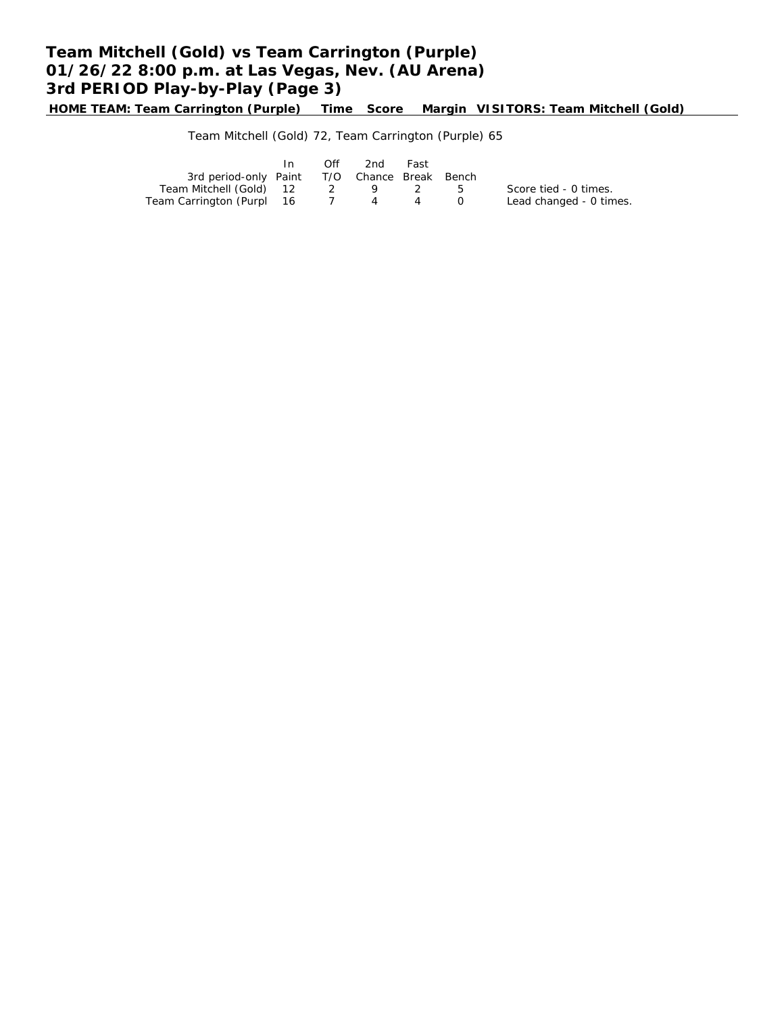# **Team Mitchell (Gold) vs Team Carrington (Purple) 01/26/22 8:00 p.m. at Las Vegas, Nev. (AU Arena) 3rd PERIOD Play-by-Play (Page 3)**

**HOME TEAM: Team Carrington (Purple) Time Score Margin VISITORS: Team Mitchell (Gold)**

Team Mitchell (Gold) 72, Team Carrington (Purple) 65

|                                              | Off. | 2nd   | Fast |   |                         |
|----------------------------------------------|------|-------|------|---|-------------------------|
| 3rd period-only Paint T/O Chance Break Bench |      |       |      |   |                         |
| Team Mitchell (Gold) 12                      |      | 2 9 2 |      | h | Score tied - 0 times.   |
| Team Carrington (Purpl 16                    |      | 4 4   |      |   | Lead changed - 0 times. |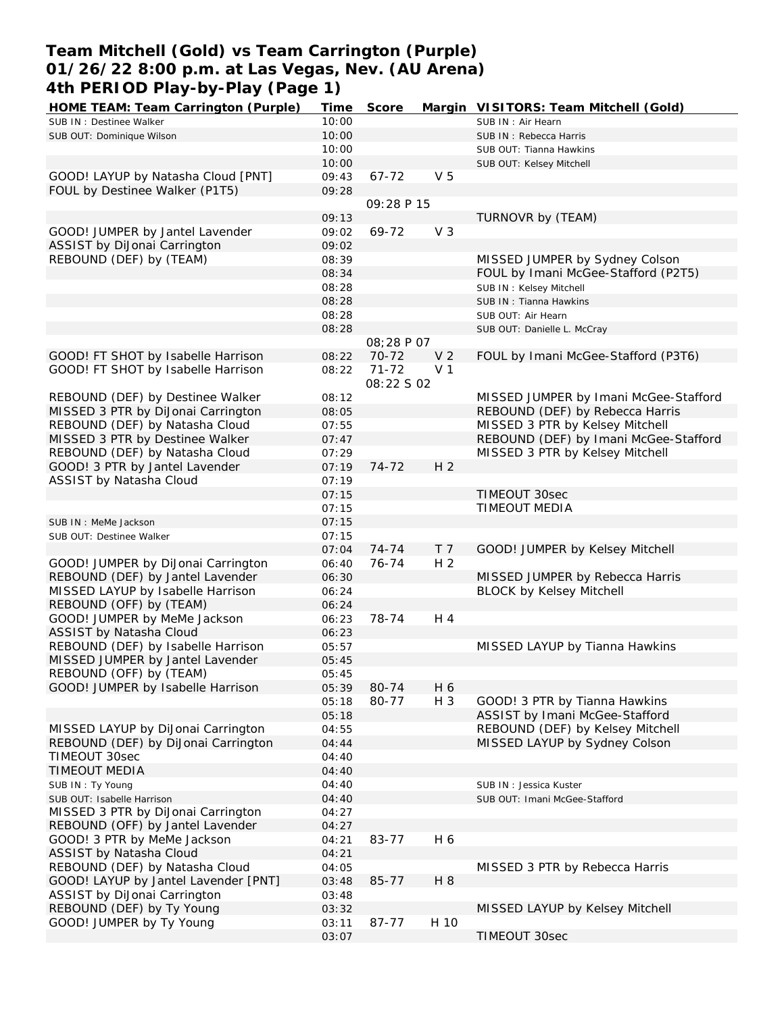## **Team Mitchell (Gold) vs Team Carrington (Purple) 01/26/22 8:00 p.m. at Las Vegas, Nev. (AU Arena) 4th PERIOD Play-by-Play (Page 1)**

| HOME TEAM: Team Carrington (Purple)  | Time  | Score             |                | Margin VISITORS: Team Mitchell (Gold) |
|--------------------------------------|-------|-------------------|----------------|---------------------------------------|
| SUB IN : Destinee Walker             | 10:00 |                   |                | SUB IN: Air Hearn                     |
| SUB OUT: Dominique Wilson            | 10:00 |                   |                | SUB IN: Rebecca Harris                |
|                                      | 10:00 |                   |                | SUB OUT: Tianna Hawkins               |
|                                      | 10:00 |                   |                | SUB OUT: Kelsey Mitchell              |
| GOOD! LAYUP by Natasha Cloud [PNT]   | 09:43 | $67 - 72$         | V <sub>5</sub> |                                       |
| FOUL by Destinee Walker (P1T5)       | 09:28 |                   |                |                                       |
|                                      |       | 09:28 P 15        |                |                                       |
|                                      | 09:13 |                   |                | TURNOVR by (TEAM)                     |
| GOOD! JUMPER by Jantel Lavender      | 09:02 | 69-72             | V <sub>3</sub> |                                       |
|                                      |       |                   |                |                                       |
| ASSIST by DiJonai Carrington         | 09:02 |                   |                |                                       |
| REBOUND (DEF) by (TEAM)              | 08:39 |                   |                | MISSED JUMPER by Sydney Colson        |
|                                      | 08:34 |                   |                | FOUL by Imani McGee-Stafford (P2T5)   |
|                                      | 08:28 |                   |                | SUB IN: Kelsey Mitchell               |
|                                      | 08:28 |                   |                | SUB IN: Tianna Hawkins                |
|                                      | 08:28 |                   |                | SUB OUT: Air Hearn                    |
|                                      | 08:28 |                   |                | SUB OUT: Danielle L. McCray           |
|                                      |       | <i>08:28 P 07</i> |                |                                       |
| GOOD! FT SHOT by Isabelle Harrison   | 08:22 | 70-72             | V <sub>2</sub> | FOUL by Imani McGee-Stafford (P3T6)   |
| GOOD! FT SHOT by Isabelle Harrison   | 08:22 | $71 - 72$         | V <sub>1</sub> |                                       |
|                                      |       | 08:22 S 02        |                |                                       |
| REBOUND (DEF) by Destinee Walker     | 08:12 |                   |                | MISSED JUMPER by Imani McGee-Stafford |
| MISSED 3 PTR by DiJonai Carrington   | 08:05 |                   |                | REBOUND (DEF) by Rebecca Harris       |
| REBOUND (DEF) by Natasha Cloud       | 07:55 |                   |                | MISSED 3 PTR by Kelsey Mitchell       |
| MISSED 3 PTR by Destinee Walker      | 07:47 |                   |                | REBOUND (DEF) by Imani McGee-Stafford |
| REBOUND (DEF) by Natasha Cloud       | 07:29 |                   |                | MISSED 3 PTR by Kelsey Mitchell       |
| GOOD! 3 PTR by Jantel Lavender       | 07:19 | 74-72             | H <sub>2</sub> |                                       |
| ASSIST by Natasha Cloud              | 07:19 |                   |                |                                       |
|                                      |       |                   |                | <b>TIMEOUT 30sec</b>                  |
|                                      | 07:15 |                   |                |                                       |
|                                      | 07:15 |                   |                | TIMEOUT MEDIA                         |
| SUB IN : MeMe Jackson                | 07:15 |                   |                |                                       |
| SUB OUT: Destinee Walker             | 07:15 |                   |                |                                       |
|                                      | 07:04 | 74-74             | T <sub>7</sub> | GOOD! JUMPER by Kelsey Mitchell       |
| GOOD! JUMPER by DiJonai Carrington   | 06:40 | 76-74             | H <sub>2</sub> |                                       |
| REBOUND (DEF) by Jantel Lavender     | 06:30 |                   |                | MISSED JUMPER by Rebecca Harris       |
| MISSED LAYUP by Isabelle Harrison    | 06:24 |                   |                | <b>BLOCK by Kelsey Mitchell</b>       |
| REBOUND (OFF) by (TEAM)              | 06:24 |                   |                |                                       |
| GOOD! JUMPER by MeMe Jackson         | 06:23 | 78-74             | H 4            |                                       |
| ASSIST by Natasha Cloud              | 06:23 |                   |                |                                       |
| REBOUND (DEF) by Isabelle Harrison   | 05:57 |                   |                | MISSED LAYUP by Tianna Hawkins        |
| MISSED JUMPER by Jantel Lavender     | 05:45 |                   |                |                                       |
| REBOUND (OFF) by (TEAM)              | 05:45 |                   |                |                                       |
| GOOD! JUMPER by Isabelle Harrison    | 05:39 | 80-74             | H 6            |                                       |
|                                      | 05:18 | 80-77             | H 3            | GOOD! 3 PTR by Tianna Hawkins         |
|                                      | 05:18 |                   |                | ASSIST by Imani McGee-Stafford        |
| MISSED LAYUP by DiJonai Carrington   | 04:55 |                   |                | REBOUND (DEF) by Kelsey Mitchell      |
| REBOUND (DEF) by DiJonai Carrington  | 04:44 |                   |                | MISSED LAYUP by Sydney Colson         |
| TIMEOUT 30sec                        | 04:40 |                   |                |                                       |
| <b>TIMEOUT MEDIA</b>                 | 04:40 |                   |                |                                       |
|                                      | 04:40 |                   |                |                                       |
| SUB IN: Ty Young                     |       |                   |                | SUB IN: Jessica Kuster                |
| SUB OUT: Isabelle Harrison           | 04:40 |                   |                | SUB OUT: Imani McGee-Stafford         |
| MISSED 3 PTR by DiJonai Carrington   | 04:27 |                   |                |                                       |
| REBOUND (OFF) by Jantel Lavender     | 04:27 |                   |                |                                       |
| GOOD! 3 PTR by MeMe Jackson          | 04:21 | 83-77             | H 6            |                                       |
| ASSIST by Natasha Cloud              | 04:21 |                   |                |                                       |
| REBOUND (DEF) by Natasha Cloud       | 04:05 |                   |                | MISSED 3 PTR by Rebecca Harris        |
| GOOD! LAYUP by Jantel Lavender [PNT] | 03:48 | 85-77             | H 8            |                                       |
| ASSIST by DiJonai Carrington         | 03:48 |                   |                |                                       |
| REBOUND (DEF) by Ty Young            | 03:32 |                   |                | MISSED LAYUP by Kelsey Mitchell       |
| GOOD! JUMPER by Ty Young             | 03:11 | 87-77             | H 10           |                                       |
|                                      | 03:07 |                   |                | TIMEOUT 30sec                         |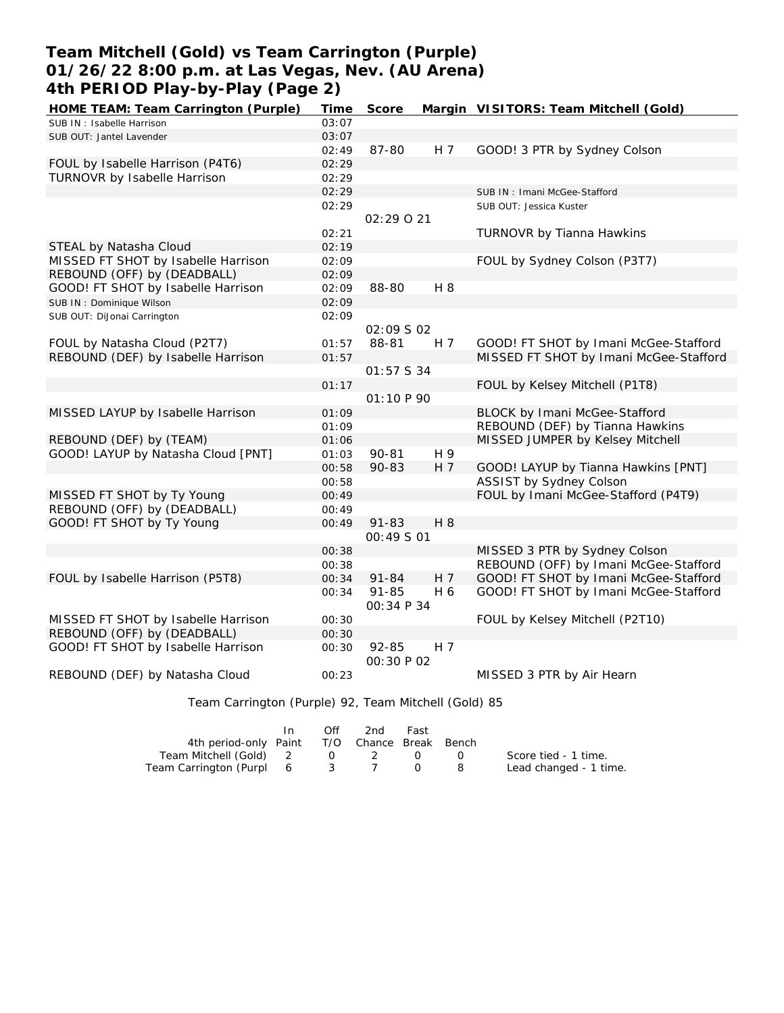# **Team Mitchell (Gold) vs Team Carrington (Purple) 01/26/22 8:00 p.m. at Las Vegas, Nev. (AU Arena) 4th PERIOD Play-by-Play (Page 2)**

| HOME TEAM: Team Carrington (Purple) | Time  | Score                    |                | Margin VISITORS: Team Mitchell (Gold)  |
|-------------------------------------|-------|--------------------------|----------------|----------------------------------------|
| SUB IN: Isabelle Harrison           | 03:07 |                          |                |                                        |
| SUB OUT: Jantel Lavender            | 03:07 |                          |                |                                        |
|                                     | 02:49 | 87-80                    | H 7            | GOOD! 3 PTR by Sydney Colson           |
| FOUL by Isabelle Harrison (P4T6)    | 02:29 |                          |                |                                        |
| TURNOVR by Isabelle Harrison        | 02:29 |                          |                |                                        |
|                                     | 02:29 |                          |                | SUB IN: Imani McGee-Stafford           |
|                                     | 02:29 |                          |                | SUB OUT: Jessica Kuster                |
|                                     |       | 02:29021                 |                |                                        |
|                                     | 02:21 |                          |                | TURNOVR by Tianna Hawkins              |
| STEAL by Natasha Cloud              | 02:19 |                          |                |                                        |
| MISSED FT SHOT by Isabelle Harrison | 02:09 |                          |                | FOUL by Sydney Colson (P3T7)           |
| REBOUND (OFF) by (DEADBALL)         | 02:09 |                          |                |                                        |
| GOOD! FT SHOT by Isabelle Harrison  | 02:09 | 88-80                    | H 8            |                                        |
| SUB IN: Dominique Wilson            | 02:09 |                          |                |                                        |
| SUB OUT: DiJonai Carrington         | 02:09 |                          |                |                                        |
|                                     |       | 02:09 S 02               |                |                                        |
| FOUL by Natasha Cloud (P2T7)        | 01:57 | 88-81                    | H <sub>7</sub> | GOOD! FT SHOT by Imani McGee-Stafford  |
| REBOUND (DEF) by Isabelle Harrison  | 01:57 |                          |                | MISSED FT SHOT by Imani McGee-Stafford |
|                                     |       | 01:57 S 34               |                |                                        |
|                                     | 01:17 |                          |                | FOUL by Kelsey Mitchell (P1T8)         |
|                                     |       | 01:10 P 90               |                |                                        |
| MISSED LAYUP by Isabelle Harrison   | 01:09 |                          |                | BLOCK by Imani McGee-Stafford          |
|                                     | 01:09 |                          |                | REBOUND (DEF) by Tianna Hawkins        |
| REBOUND (DEF) by (TEAM)             | 01:06 |                          |                | MISSED JUMPER by Kelsey Mitchell       |
| GOOD! LAYUP by Natasha Cloud [PNT]  | 01:03 | $90 - 81$                | H 9            |                                        |
|                                     | 00:58 | 90-83                    | H 7            | GOOD! LAYUP by Tianna Hawkins [PNT]    |
|                                     | 00:58 |                          |                | <b>ASSIST by Sydney Colson</b>         |
| MISSED FT SHOT by Ty Young          | 00:49 |                          |                | FOUL by Imani McGee-Stafford (P4T9)    |
| REBOUND (OFF) by (DEADBALL)         | 00:49 |                          |                |                                        |
| GOOD! FT SHOT by Ty Young           | 00:49 | $91 - 83$                | H 8            |                                        |
|                                     |       | 00:49 S 01               |                |                                        |
|                                     | 00:38 |                          |                | MISSED 3 PTR by Sydney Colson          |
|                                     | 00:38 |                          |                | REBOUND (OFF) by Imani McGee-Stafford  |
| FOUL by Isabelle Harrison (P5T8)    | 00:34 | $91 - 84$                | H <sub>7</sub> | GOOD! FT SHOT by Imani McGee-Stafford  |
|                                     | 00:34 | $91 - 85$<br>OO: 34 P 34 | H 6            | GOOD! FT SHOT by Imani McGee-Stafford  |
| MISSED FT SHOT by Isabelle Harrison | 00:30 |                          |                | FOUL by Kelsey Mitchell (P2T10)        |
| REBOUND (OFF) by (DEADBALL)         | 00:30 |                          |                |                                        |
| GOOD! FT SHOT by Isabelle Harrison  | 00:30 | 92-85                    | H $7$          |                                        |
|                                     |       | 00:30 P 02               |                |                                        |
| REBOUND (DEF) by Natasha Cloud      | 00:23 |                          |                | MISSED 3 PTR by Air Hearn              |

Team Carrington (Purple) 92, Team Mitchell (Gold) 85

|                                              | ln. | Off the other than the other than the set of the set of the set of the set of the set of the set of the set of | 2nd - | Fast                                          |                                 |                        |
|----------------------------------------------|-----|----------------------------------------------------------------------------------------------------------------|-------|-----------------------------------------------|---------------------------------|------------------------|
| 4th period-only Paint T/O Chance Break Bench |     |                                                                                                                |       |                                               |                                 |                        |
| Team Mitchell (Gold) 2 0 2                   |     |                                                                                                                |       | $\left( \begin{array}{c} \end{array} \right)$ | $\mathcal{O}$ and $\mathcal{O}$ | Score tied - 1 time.   |
| Team Carrington (Purpl 6 3 7                 |     |                                                                                                                |       |                                               |                                 | Lead changed - 1 time. |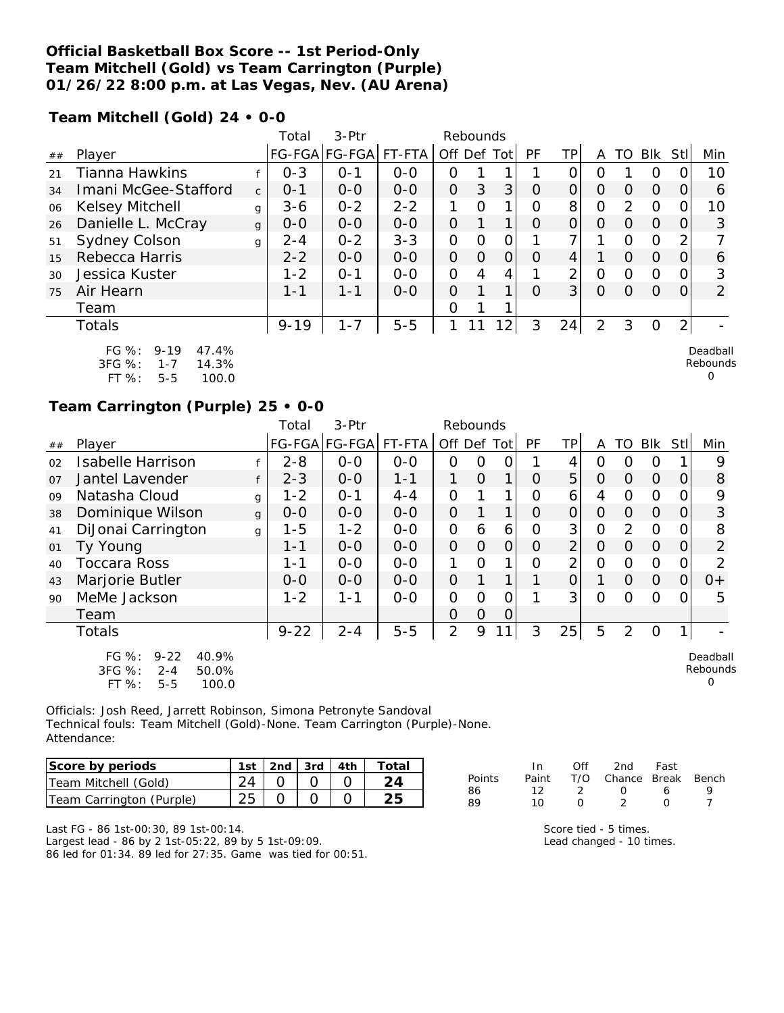### **Official Basketball Box Score -- 1st Period-Only Team Mitchell (Gold) vs Team Carrington (Purple) 01/26/22 8:00 p.m. at Las Vegas, Nev. (AU Arena)**

**Team Mitchell (Gold) 24 • 0-0**

|    |                                                                                             |              | Total    | $3-Ptr$       |         |                | Rebounds |                 |          |                |                |               |          |                  |                           |
|----|---------------------------------------------------------------------------------------------|--------------|----------|---------------|---------|----------------|----------|-----------------|----------|----------------|----------------|---------------|----------|------------------|---------------------------|
| ## | Player                                                                                      |              |          | FG-FGA FG-FGA | FT-FTA  |                |          | Off Def Tot     | PF       | ΤP             | A              | TO            | Blk      | <b>Stl</b>       | Min                       |
| 21 | <b>Tianna Hawkins</b>                                                                       |              | $0 - 3$  | $O - 1$       | $0-0$   | 0              |          |                 |          | ი              | ი              |               | O        |                  | 10                        |
| 34 | Imani McGee-Stafford                                                                        | $\mathsf{C}$ | $0 - 1$  | $0 - 0$       | $0 - 0$ | $\overline{O}$ | 3        | 3               | $\Omega$ | 0              | O              | $\Omega$      | $\Omega$ | O                | 6                         |
| 06 | <b>Kelsey Mitchell</b>                                                                      | g            | $3 - 6$  | $0 - 2$       | $2 - 2$ | 1              | $\Omega$ |                 | 0        | 8              | O              | $\mathcal{P}$ | $\Omega$ |                  | 10                        |
| 26 | Danielle L. McCray                                                                          | $\mathbf{q}$ | $0 - 0$  | $0-0$         | $0 - 0$ | 0              |          | 1               | $\Omega$ | $\Omega$       | $\Omega$       | $\Omega$      | $\Omega$ | $\left( \right)$ | 3                         |
| 51 | Sydney Colson                                                                               | g            | $2 - 4$  | $0 - 2$       | $3 - 3$ | 0              | $\Omega$ | O               |          | 7              |                | $\Omega$      | $\Omega$ | 2                |                           |
| 15 | Rebecca Harris                                                                              |              | $2 - 2$  | $0 - 0$       | $0-0$   | 0              | $\Omega$ | Ο               | $\Omega$ | 4              |                | $\Omega$      | $\Omega$ | $\Omega$         | 6                         |
| 30 | Jessica Kuster                                                                              |              | $1 - 2$  | $O - 1$       | $0-0$   | 0              | 4        | 4               |          | $\overline{2}$ | O              | $\Omega$      | $\Omega$ | $\Omega$         | 3                         |
| 75 | Air Hearn                                                                                   |              | 1-1      | $1 - 1$       | $0 - 0$ | 0              |          |                 | Ω        | 3 <sup>1</sup> | 0              | 0             | $\Omega$ |                  | $\overline{2}$            |
|    | Team                                                                                        |              |          |               |         | Ω              |          |                 |          |                |                |               |          |                  |                           |
|    | <b>Totals</b>                                                                               |              | $9 - 19$ | $1 - 7$       | $5 - 5$ |                |          | 12 <sub>1</sub> | 3        | 24             | $\overline{2}$ | 3             | $\Omega$ | 2                |                           |
|    | $FG \%$ :<br>$9 - 19$<br>47.4%<br>$3FG \%$<br>14.3%<br>$1 - 7$<br>FT %:<br>100.0<br>$5 - 5$ |              |          |               |         |                |          |                 |          |                |                |               |          |                  | Deadball<br>Rebounds<br>O |

### **Team Carrington (Purple) 25 • 0-0**

|                |                                                                                          |   | Total         | 3-Ptr         |         | Rebounds    |          |                |    |                |                |                |            |                |                           |
|----------------|------------------------------------------------------------------------------------------|---|---------------|---------------|---------|-------------|----------|----------------|----|----------------|----------------|----------------|------------|----------------|---------------------------|
| ##             | Player                                                                                   |   | <b>FG-FGA</b> | FG-FGA FT-FTA |         | Off Def Tot |          |                | PF | ΤP             | A              | TO             | <b>Blk</b> | Stll           | Min                       |
| 02             | <b>Isabelle Harrison</b>                                                                 |   | $2 - 8$       | $0-0$         | $0-0$   | 0           | 0        | O              |    | 4              | 0              | O              | O          |                | 9                         |
| O <sub>7</sub> | Jantel Lavender                                                                          | f | $2 - 3$       | $O-O$         | $1 - 1$ | 1           | $\Omega$ | 1              | 0  | 5              | 0              | $\Omega$       | $\Omega$   | 0              | 8                         |
| 09             | Natasha Cloud                                                                            | g | $1 - 2$       | $0 - 1$       | $4 - 4$ | 0           |          |                | 0  | 6              | 4              | O              | $\Omega$   | 0              | 9                         |
| 38             | Dominique Wilson                                                                         | g | $0 - 0$       | $0-0$         | $O-O$   | 0           |          | 1              | 0  | 0              | $\Omega$       | $\Omega$       | $\Omega$   | 0              | 3                         |
| 41             | DiJonai Carrington                                                                       | g | $1 - 5$       | $1 - 2$       | $O-O$   | 0           | 6        | 6              | 0  | 3              | $\Omega$       | $\overline{2}$ | $\Omega$   | 0              | 8                         |
| 01             | Ty Young                                                                                 |   | $1 - 1$       | $0-0$         | $0-0$   | 0           | $\Omega$ | $\overline{O}$ | 0  | $\overline{2}$ | $\overline{O}$ | $\Omega$       | $\Omega$   | 0              | $\overline{2}$            |
| 40             | <b>Toccara Ross</b>                                                                      |   | 1-1           | $0 - 0$       | $0-0$   | 1           | O        | 1              | O  | $\overline{2}$ | $\Omega$       | $\Omega$       | $\circ$    | 0              | 2                         |
| 43             | Marjorie Butler                                                                          |   | $0 - 0$       | $0-0$         | $0-0$   | 0           |          | 1              |    | 0              |                | $\Omega$       | $\Omega$   | $\overline{O}$ | $O+$                      |
| 90             | MeMe Jackson                                                                             |   | $1 - 2$       | $1 - 1$       | $0-0$   | 0           | $\Omega$ | 0              |    | 3              | $\Omega$       | Ω              | O          | 0              | 5                         |
|                | Team                                                                                     |   |               |               |         | 0           | $\Omega$ | $\Omega$       |    |                |                |                |            |                |                           |
|                | <b>Totals</b>                                                                            |   | $9 - 22$      | $2 - 4$       | $5 - 5$ | 2           | 9        |                | 3  | 25             | 5              | 2              | O          |                |                           |
|                | FG $%$ :<br>$9 - 22$<br>40.9%<br>3FG %:<br>50.0%<br>$2 - 4$<br>FT %:<br>$5 - 5$<br>100.0 |   |               |               |         |             |          |                |    |                |                |                |            |                | Deadball<br>Rebounds<br>O |

Officials: Josh Reed, Jarrett Robinson, Simona Petronyte Sandoval Technical fouls: Team Mitchell (Gold)-None. Team Carrington (Purple)-None. Attendance:

| Score by periods         | 1st   2nd   3rd   4th |  | Total |
|--------------------------|-----------------------|--|-------|
| Team Mitchell (Gold)     |                       |  |       |
| Team Carrington (Purple) |                       |  |       |

|        | In In | Off           | 2nd                    | Fast             |  |
|--------|-------|---------------|------------------------|------------------|--|
| Points | Paint |               | T/O Chance Break Bench |                  |  |
| 86     | 12.   | $\mathcal{P}$ | $\left( \right)$       | 6                |  |
| 89     | 10.   | O             |                        | $\left( \right)$ |  |
|        |       |               |                        |                  |  |

Last FG - 86 1st-00:30, 89 1st-00:14. Largest lead - 86 by 2 1st-05:22, 89 by 5 1st-09:09. 86 led for 01:34. 89 led for 27:35. Game was tied for 00:51. Score tied - 5 times. Lead changed - 10 times.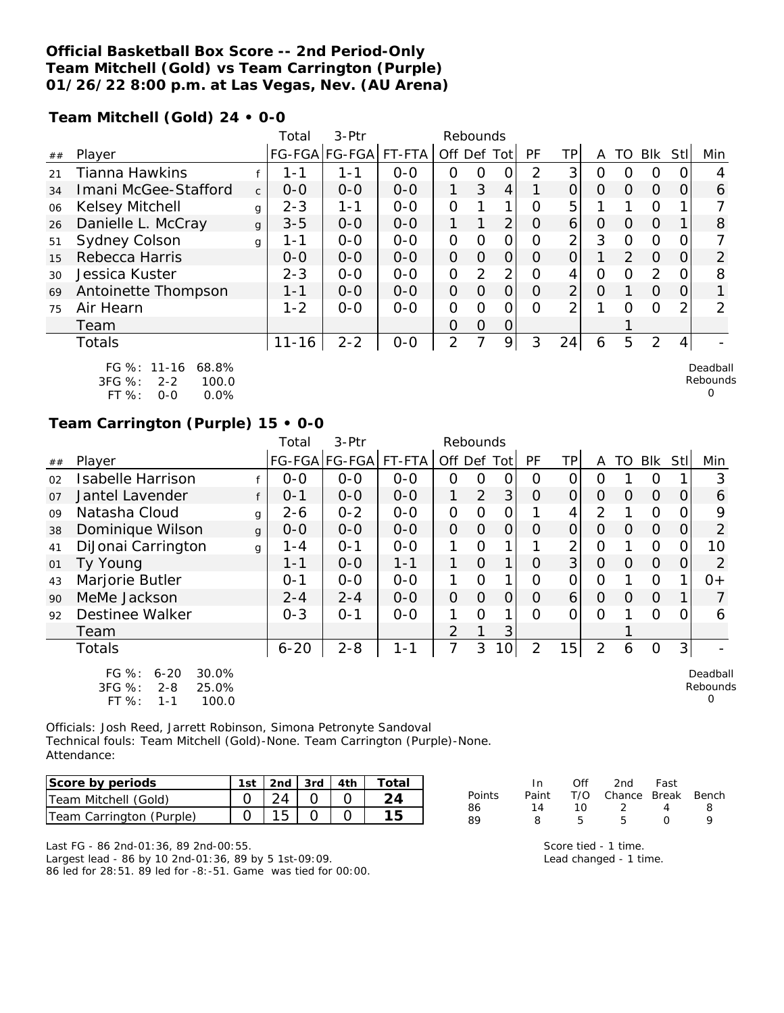### **Official Basketball Box Score -- 2nd Period-Only Team Mitchell (Gold) vs Team Carrington (Purple) 01/26/22 8:00 p.m. at Las Vegas, Nev. (AU Arena)**

**Team Mitchell (Gold) 24 • 0-0**

|    |                                                                                  |              | Total     | 3-Ptr         |         | Rebounds       |          |                |          |                 |          |    |                |     |                      |
|----|----------------------------------------------------------------------------------|--------------|-----------|---------------|---------|----------------|----------|----------------|----------|-----------------|----------|----|----------------|-----|----------------------|
| ## | Player                                                                           |              |           | FG-FGA FG-FGA | FT-FTA  | Off Def Tot    |          |                | PF       | ΤP              | A        | TO | Blk            | Stl | Min                  |
| 21 | <b>Tianna Hawkins</b>                                                            |              | 1 - 1     | $1 - 1$       | $0 - 0$ | 0              | O        | 0              | 2        | 3               | Ο        | O  | O              |     | 4                    |
| 34 | Imani McGee-Stafford                                                             | $\mathsf{C}$ | $0 - 0$   | $0 - 0$       | $0-0$   | 1              | 3        | 4              | 1        | $\Omega$        | $\Omega$ | O  | $\Omega$       | 0   | 6                    |
| 06 | Kelsey Mitchell                                                                  | g            | $2 - 3$   | $1 - 1$       | $0-0$   | $\overline{O}$ |          | 1              | Ω        | 5               |          |    | $\overline{O}$ |     |                      |
| 26 | Danielle L. McCray                                                               | g            | $3 - 5$   | $0 - 0$       | $0 - 0$ |                |          | $\overline{2}$ | O        | $\vert 6 \vert$ | O        | 0  | $\Omega$       |     | 8                    |
| 51 | Sydney Colson                                                                    | g            | 1 - 1     | $0 - 0$       | $0 - 0$ | 0              | O        | 0              | Ω        | 2               | 3        | O  | 0              |     |                      |
| 15 | Rebecca Harris                                                                   |              | $0-0$     | $0-0$         | $0-0$   | $\overline{O}$ | 0        | 0              | Ω        | $\overline{0}$  |          | 2  | $\Omega$       | O   | 2                    |
| 30 | Jessica Kuster                                                                   |              | $2 - 3$   | $0 - 0$       | $O-O$   | $\overline{O}$ | 2        | 2              | 0        | 4               | Ο        | O  | $\overline{2}$ |     | 8                    |
| 69 | Antoinette Thompson                                                              |              | $1 - 1$   | $0 - 0$       | $0-0$   | $\Omega$       | $\Omega$ | $\Omega$       | $\Omega$ | $\overline{2}$  | 0        |    | $\Omega$       | Ο   |                      |
| 75 | Air Hearn                                                                        |              | $1 - 2$   | $0 - 0$       | $0-0$   | 0              | 0        | Ω              | Ω        | っ               |          | ∩  | 0              | っ   | 2                    |
|    | Team                                                                             |              |           |               |         | $\Omega$       | 0        | 0              |          |                 |          |    |                |     |                      |
|    | Totals                                                                           |              | $11 - 16$ | $2 - 2$       | $0-0$   | 2              | ᄀ        | 9              | 3        | 24              | 6        | 5  | $\overline{2}$ | 4   |                      |
|    | FG %: 11-16<br>68.8%<br>3FG %:<br>100.0<br>$2 - 2$<br>$FT$ %:<br>0.0%<br>$0 - 0$ |              |           |               |         |                |          |                |          |                 |          |    |                |     | Deadball<br>Rebounds |

# **Team Carrington (Purple) 15 • 0-0**

|    |                                                                                           |   | Total    | $3-Ptr$       |         | Rebounds |          |                 |                |                |          |          |                |          |                           |
|----|-------------------------------------------------------------------------------------------|---|----------|---------------|---------|----------|----------|-----------------|----------------|----------------|----------|----------|----------------|----------|---------------------------|
| ## | Player                                                                                    |   |          | FG-FGA FG-FGA | FT-FTA  | Off Def  |          | Tot             | PF             | TP             | A        | TO       | <b>Blk</b>     | Stl      | Min                       |
| 02 | <b>Isabelle Harrison</b>                                                                  |   | $O-O$    | $0 - 0$       | $0 - 0$ | Ο        | Ο        | 0               | 0              | Ο              | 0        |          | O              |          | 3                         |
| 07 | Jantel Lavender                                                                           |   | $0 - 1$  | $O-O$         | $0 - 0$ | 1        | 2        | 3               | $\Omega$       | $\overline{O}$ | 0        | $\Omega$ | $\Omega$       | $\Omega$ | 6                         |
| 09 | Natasha Cloud                                                                             | g | $2 - 6$  | $0 - 2$       | $0-0$   | 0        | O        | $\mathcal{O}$   |                | $\overline{4}$ | 2        |          | $\Omega$       |          | 9                         |
| 38 | Dominique Wilson                                                                          | q | $0-0$    | $0 - 0$       | $0 - 0$ | 0        | $\Omega$ | $\Omega$        | $\Omega$       | $\overline{O}$ | $\Omega$ | $\Omega$ | $\overline{O}$ | O        | $\overline{2}$            |
| 41 | DiJonai Carrington                                                                        | g | 1 - 4    | $O - 1$       | $0 - 0$ | 1        | $\Omega$ | $\mathbf 1$     |                | $\overline{2}$ | 0        |          | $\Omega$       |          | 10                        |
| 01 | Ty Young                                                                                  |   | 1-1      | $O-O$         | $1 - 1$ |          | $\Omega$ | $\mathbf{1}$    | $\Omega$       | 3              | $\Omega$ | $\Omega$ | $\Omega$       | O        | 2                         |
| 43 | Marjorie Butler                                                                           |   | $O - 1$  | $0 - 0$       | $0 - 0$ |          | $\Omega$ | 1               | 0              | 0              | 0        |          | $\Omega$       |          | $O +$                     |
| 90 | MeMe Jackson                                                                              |   | $2 - 4$  | $2 - 4$       | $0 - 0$ | $\Omega$ | $\Omega$ | $\Omega$        | $\Omega$       | 6              | $\Omega$ | $\Omega$ | $\Omega$       |          |                           |
| 92 | Destinee Walker                                                                           |   | $0 - 3$  | $0 - 1$       | $0-0$   | 1        | $\Omega$ | 1               | $\Omega$       | $\overline{O}$ | 0        |          | $\Omega$       |          | 6                         |
|    | Team                                                                                      |   |          |               |         | 2        |          | 3               |                |                |          |          |                |          |                           |
|    | Totals                                                                                    |   | $6 - 20$ | $2 - 8$       | 1-1     | 7        | 3        | 10 <sup>1</sup> | $\overline{2}$ | 15             | 2        | 6        | $\mathcal{O}$  | 3        |                           |
|    | $FG \%$ :<br>$6 - 20$<br>30.0%<br>3FG %:<br>$2 - 8$<br>25.0%<br>FT %:<br>100.0<br>$1 - 1$ |   |          |               |         |          |          |                 |                |                |          |          |                |          | Deadball<br>Rebounds<br>0 |

Officials: Josh Reed, Jarrett Robinson, Simona Petronyte Sandoval Technical fouls: Team Mitchell (Gold)-None. Team Carrington (Purple)-None. Attendance:

| Score by periods         | 1st | $2nd$ 3rd $4th$ |  | Total |
|--------------------------|-----|-----------------|--|-------|
| Team Mitchell (Gold)     |     |                 |  |       |
| Team Carrington (Purple) |     |                 |  |       |

|        | In. | Off | 2nd                          | Fast   |   |
|--------|-----|-----|------------------------------|--------|---|
| Points |     |     | Paint T/O Chance Break Bench |        |   |
| 86     | 14  | 1 N | $\overline{2}$               | Δ      | 8 |
| 89     | 8   | 5.  | 5                            | $\cap$ | Q |
|        |     |     |                              |        |   |

Last FG - 86 2nd-01:36, 89 2nd-00:55. Largest lead - 86 by 10 2nd-01:36, 89 by 5 1st-09:09. 86 led for 28:51. 89 led for -8:-51. Game was tied for 00:00. Score tied - 1 time. Lead changed - 1 time.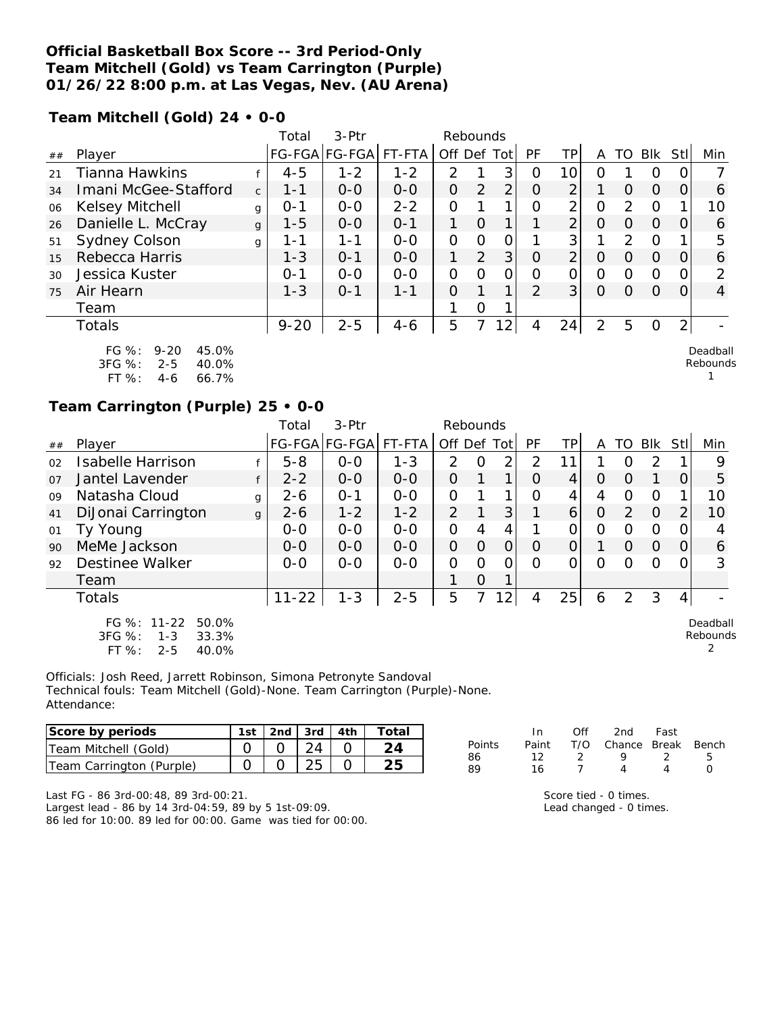### **Official Basketball Box Score -- 3rd Period-Only Team Mitchell (Gold) vs Team Carrington (Purple) 01/26/22 8:00 p.m. at Las Vegas, Nev. (AU Arena)**

**Team Mitchell (Gold) 24 • 0-0**

|    |                                                                                   |              | Total    | 3-Ptr                 |         | Rebounds    |          |                 |               |                |                |                |          |      |                      |
|----|-----------------------------------------------------------------------------------|--------------|----------|-----------------------|---------|-------------|----------|-----------------|---------------|----------------|----------------|----------------|----------|------|----------------------|
| ## | Player                                                                            |              |          | FG-FGA FG-FGA  FT-FTA |         | Off Def Tot |          |                 | PF            | ΤP             | A              | TO.            | Blk      | Stll | Min                  |
| 21 | Tianna Hawkins                                                                    |              | $4 - 5$  | $1 - 2$               | $1 - 2$ | 2           |          | 3               | 0             | 10             | Ω              |                | $\Omega$ |      |                      |
| 34 | Imani McGee-Stafford                                                              | $\mathsf{C}$ | $1 - 1$  | $O-O$                 | $0 - 0$ | O           | 2        | 2 <sub>1</sub>  | O             | $\overline{2}$ |                | $\Omega$       | $\Omega$ | O    | 6                    |
| 06 | Kelsey Mitchell                                                                   | g            | $O - 1$  | $0 - 0$               | $2 - 2$ | O           |          | 1               | Ω             | 2              | 0              | 2              | $\Omega$ |      | 10                   |
| 26 | Danielle L. McCray                                                                | $\mathbf{q}$ | $1 - 5$  | $0 - 0$               | $O - 1$ | 1           | $\Omega$ | 1.              |               | $\overline{2}$ | $\Omega$       | $\Omega$       | $\Omega$ | O    | 6                    |
| 51 | Sydney Colson                                                                     | g            | $1 - 1$  | $1 - 1$               | $0-0$   | O           | $\Omega$ | 0               |               | 3              |                | $\mathfrak{D}$ | $\Omega$ |      | 5                    |
| 15 | Rebecca Harris                                                                    |              | $1 - 3$  | $0 - 1$               | $0 - 0$ | 1           | 2        | 3 <sub>l</sub>  | $\Omega$      | $\overline{2}$ | 0              | $\Omega$       | $\Omega$ | O    | 6                    |
| 30 | Jessica Kuster                                                                    |              | $0 - 1$  | $0 - 0$               | $0-0$   | O           | Ω        | 0               | Ω             | 0              | 0              | 0              | $\Omega$ |      | っ                    |
| 75 | Air Hearn                                                                         |              | $1 - 3$  | $0 - 1$               | $1 - 1$ | O           |          | 1               | $\mathcal{D}$ | 3              | O              | $\Omega$       | $\Omega$ |      | 4                    |
|    | Team                                                                              |              |          |                       |         |             | Ω        |                 |               |                |                |                |          |      |                      |
|    | Totals                                                                            |              | $9 - 20$ | $2 - 5$               | $4 - 6$ | 5           |          | 12 <sub>1</sub> | 4             | 24             | $\overline{2}$ | 5              | $\Omega$ | 2    |                      |
|    | FG %:<br>$9 - 20$<br>45.0%<br>3FG %:<br>$2 - 5$<br>40.0%<br>FT %:<br>66.7%<br>4-6 |              |          |                       |         |             |          |                 |               |                |                |                |          |      | Deadball<br>Rebounds |

### **Team Carrington (Purple) 25 • 0-0**

|                |                                                                                   |              | Total     | 3-Ptr         |         | Rebounds       |          |                |           |                |                |          |            |                |                      |
|----------------|-----------------------------------------------------------------------------------|--------------|-----------|---------------|---------|----------------|----------|----------------|-----------|----------------|----------------|----------|------------|----------------|----------------------|
| ##             | Player                                                                            |              |           | FG-FGA FG-FGA | FT-FTA  | Off Def Tot    |          |                | <b>PF</b> | TPI            | A              | TO       | <b>Blk</b> | Stll           | Min                  |
| 02             | Isabelle Harrison                                                                 |              | $5 - 8$   | $0 - 0$       | $1 - 3$ | $\mathcal{P}$  | O        | $\overline{2}$ | 2         | 1              |                | O        | 2          |                | 9                    |
| O <sub>7</sub> | Jantel Lavender                                                                   | f            | $2 - 2$   | $0 - 0$       | $0 - 0$ | $\Omega$       |          | 1              | $\Omega$  | 4              | $\Omega$       | $\Omega$ |            | 0              | 5                    |
| 09             | Natasha Cloud                                                                     | g            | $2 - 6$   | $O - 1$       | $0 - 0$ | $\Omega$       |          | 1              | O         | 4              | 4              | O        | $\Omega$   |                | 10                   |
| 41             | DiJonai Carrington                                                                | $\mathbf{q}$ | $2 - 6$   | $1 - 2$       | $1 - 2$ | $\overline{2}$ |          | 3              |           | 6              | $\overline{O}$ | 2        | $\Omega$   | $\overline{2}$ | 10                   |
| 01             | Ty Young                                                                          |              | $O-O$     | $O-O$         | $O-O$   | 0              | 4        | 4              |           | 0              | 0              | O        | $\Omega$   | $\Omega$       | 4                    |
| 90             | MeMe Jackson                                                                      |              | $0 - 0$   | $0 - 0$       | $0 - 0$ | $\overline{O}$ | $\Omega$ | $\mathbf{O}$   | O         | $\overline{O}$ |                | $\Omega$ | $\Omega$   | O              | 6                    |
| 92             | Destinee Walker                                                                   |              | $0 - 0$   | $0 - 0$       | $0 - 0$ | $\Omega$       | $\Omega$ | $\Omega$       | ∩         | 0              | $\Omega$       | ∩        | $\Omega$   | O              | 3                    |
|                | Team                                                                              |              |           |               |         |                | $\Omega$ |                |           |                |                |          |            |                |                      |
|                | <b>Totals</b>                                                                     |              | $11 - 22$ | $1 - 3$       | $2 - 5$ | 5              | 7        | $\overline{2}$ | 4         | 25             | 6              | 2        | 3          | 4              |                      |
|                | FG %: 11-22<br>50.0%<br>3FG %:<br>$1 - 3$<br>33.3%<br>$FT$ %:<br>$2 - 5$<br>40.0% |              |           |               |         |                |          |                |           |                |                |          |            |                | Deadball<br>Rebounds |

Officials: Josh Reed, Jarrett Robinson, Simona Petronyte Sandoval Technical fouls: Team Mitchell (Gold)-None. Team Carrington (Purple)-None. Attendance:

| Score by periods         | 1st | 2nd $\frac{1}{3}$ 3rd $\frac{1}{4}$ 4th | $\tau$ otai |
|--------------------------|-----|-----------------------------------------|-------------|
| Team Mitchell (Gold)     |     |                                         |             |
| Team Carrington (Purple) |     |                                         |             |

Last FG - 86 3rd-00:48, 89 3rd-00:21. Largest lead - 86 by 14 3rd-04:59, 89 by 5 1st-09:09. 86 led for 10:00. 89 led for 00:00. Game was tied for 00:00.

|        | In.   | ∩ff | 2nd                    | Fast |    |
|--------|-------|-----|------------------------|------|----|
| Points | Paint |     | T/O Chance Break Bench |      |    |
| 86     | 12.   |     | O                      | - 2  | Б. |
| 89     | 16    |     |                        |      |    |

Score tied - 0 times. Lead changed - 0 times.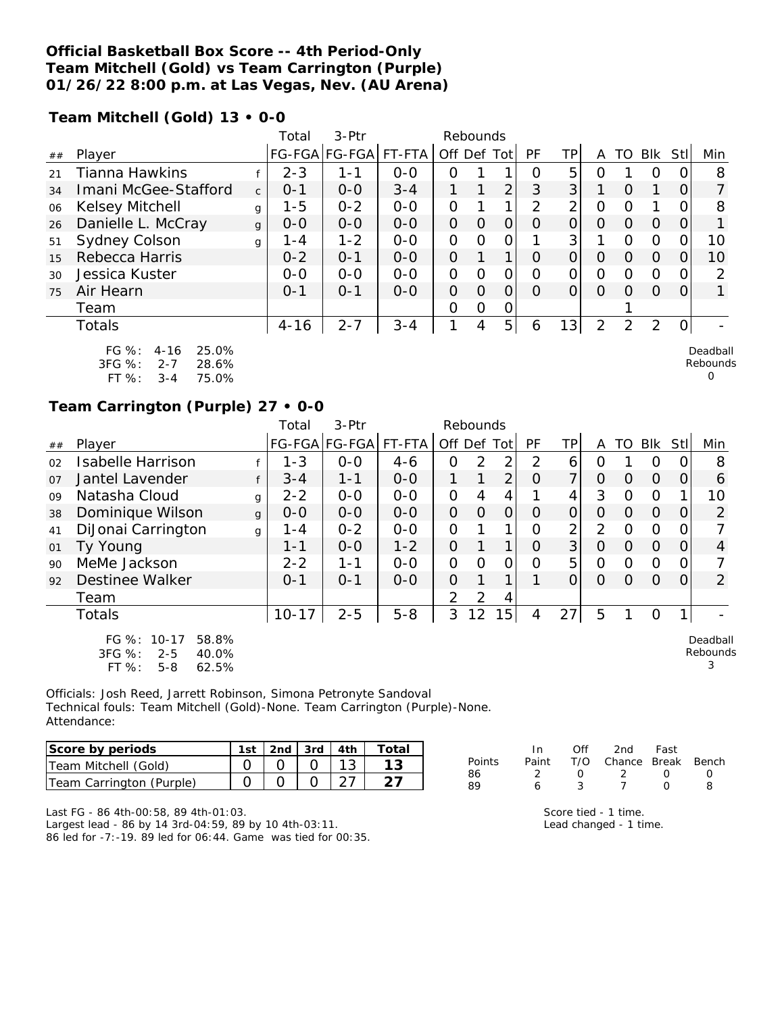### **Official Basketball Box Score -- 4th Period-Only Team Mitchell (Gold) vs Team Carrington (Purple) 01/26/22 8:00 p.m. at Las Vegas, Nev. (AU Arena)**

**Team Mitchell (Gold) 13 • 0-0**

|    |                                                                                               |              | Total    | 3-Ptr                 |         | Rebounds       |          |                |          |                |                |                |          |      |                                  |
|----|-----------------------------------------------------------------------------------------------|--------------|----------|-----------------------|---------|----------------|----------|----------------|----------|----------------|----------------|----------------|----------|------|----------------------------------|
| ## | Player                                                                                        |              |          | FG-FGA FG-FGA  FT-FTA |         | Off Def Tot    |          |                | PF       | TP.            | A              | TO I           | Blk      | Stll | Min                              |
| 21 | <b>Tianna Hawkins</b>                                                                         |              | $2 - 3$  | 1-1                   | $0 - 0$ | Ω              |          | 1              | $\Omega$ | 5              | ი              |                | $\Omega$ |      | 8                                |
| 34 | Imani McGee-Stafford                                                                          | $\mathsf{C}$ | $0 - 1$  | $O-O$                 | $3 - 4$ |                | 1        | $\overline{2}$ | 3        | 3              |                | $\Omega$       |          | O    |                                  |
| 06 | Kelsey Mitchell                                                                               | g            | $1 - 5$  | $0 - 2$               | $0 - 0$ | O              |          | 1.             | 2        | $\overline{2}$ | 0              | 0              |          |      | 8                                |
| 26 | Danielle L. McCray                                                                            | $\mathbf{q}$ | $0-0$    | $0 - 0$               | $0 - 0$ | 0              | $\Omega$ | 0              | O        | O              | O              | 0              | $\Omega$ | O    |                                  |
| 51 | <b>Sydney Colson</b>                                                                          | g            | 1 - 4    | $1 - 2$               | $0-0$   | 0              | $\Omega$ | 0              |          | 3              |                | $\Omega$       | $\Omega$ |      | 10                               |
| 15 | Rebecca Harris                                                                                |              | $0 - 2$  | $0 - 1$               | $0 - 0$ | $\overline{O}$ |          | $\mathbf 1$    | $\Omega$ | 0              | O              | 0              | $\Omega$ |      | 10                               |
| 30 | Jessica Kuster                                                                                |              | $O-O$    | $0-0$                 | $0-0$   | 0              | $\Omega$ | 0              | 0        | 0              | 0              | $\Omega$       | $\Omega$ |      | 2                                |
| 75 | Air Hearn                                                                                     |              | $0 - 1$  | $0 - 1$               | $0 - 0$ | O              | $\Omega$ | Ω              | 0        | $\Omega$       | $\Omega$       | $\Omega$       | $\Omega$ |      |                                  |
|    | Team                                                                                          |              |          |                       |         | Ω              | O        | 0              |          |                |                |                |          |      |                                  |
|    | Totals                                                                                        |              | $4 - 16$ | $2 - 7$               | $3 - 4$ | 1              | 4        | 5 <sup>1</sup> | 6        | 13             | $\overline{2}$ | $\overline{2}$ | 2        |      |                                  |
|    | $FG \%$ :<br>25.0%<br>$4 - 16$<br>$3FG \%$ :<br>$2 - 7$<br>28.6%<br>FT %:<br>75.0%<br>$3 - 4$ |              |          |                       |         |                |          |                |          |                |                |                |          |      | Deadball<br>Rebounds<br>$\Omega$ |

### **Team Carrington (Purple) 27 • 0-0**

|    |                                                                                          |              | Total     | 3-Ptr         |         |                | Rebounds |                |           |                |                |          |          |                  |                           |
|----|------------------------------------------------------------------------------------------|--------------|-----------|---------------|---------|----------------|----------|----------------|-----------|----------------|----------------|----------|----------|------------------|---------------------------|
| ## | Player                                                                                   |              |           | FG-FGA FG-FGA | FT-FTA  | Off Def Tot    |          |                | <b>PF</b> | TPI            | A              | TO       | Blk      | StII             | Min                       |
| 02 | <b>Isabelle Harrison</b>                                                                 |              | $1 - 3$   | $0 - 0$       | $4 - 6$ | 0              | 2        | 2              | 2         | 6              | 0              |          | O        | $\left( \right)$ | 8                         |
| 07 | Jantel Lavender                                                                          | f            | $3 - 4$   | $1 - 1$       | $0-0$   |                |          | 2              | $\Omega$  | $\overline{7}$ | $\Omega$       | $\Omega$ | $\Omega$ | 0                | 6                         |
| 09 | Natasha Cloud                                                                            | g            | $2 - 2$   | $O-O$         | $0 - 0$ | $\overline{O}$ | 4        | 4              |           | 4              | 3              | 0        | 0        |                  | 10                        |
| 38 | Dominique Wilson                                                                         | $\mathbf{q}$ | $0 - 0$   | $0 - 0$       | $O - O$ | $\Omega$       | $\Omega$ | $\overline{O}$ | $\Omega$  | $\Omega$       | $\Omega$       | $\Omega$ | $\Omega$ | 0                | 2                         |
| 41 | DiJonai Carrington                                                                       | g            | $1 - 4$   | $0 - 2$       | $0-0$   | $\overline{O}$ |          |                | Ο         | 2              | $\overline{2}$ | $\circ$  | $\Omega$ | 0                |                           |
| 01 | Ty Young                                                                                 |              | $1 - 1$   | $0 - 0$       | $1 - 2$ | $\Omega$       |          | 1              | $\Omega$  | 3 <sup>1</sup> | $\Omega$       | $\Omega$ | $\Omega$ | 0                | 4                         |
| 90 | MeMe Jackson                                                                             |              | $2 - 2$   | $1 - 1$       | $0 - 0$ | $\Omega$       | O        | 0              | $\Omega$  | 5              | $\Omega$       | $\Omega$ | O        | 0                |                           |
| 92 | Destinee Walker                                                                          |              | $0 - 1$   | $O - 1$       | $O-O$   | 0              |          |                |           | 0              | $\Omega$       | Ω        | $\Omega$ | 0                | $\overline{2}$            |
|    | Team                                                                                     |              |           |               |         | 2              | 2        | 4              |           |                |                |          |          |                  |                           |
|    | <b>Totals</b>                                                                            |              | $10 - 17$ | $2 - 5$       | $5 - 8$ | 3              | 12       | 15             | 4         | 27             | 5              |          | O        | 1                |                           |
|    | $FG \%$ :<br>$10-17$<br>58.8%<br>3FG %:<br>40.0%<br>$2 - 5$<br>FT %:<br>$5 - 8$<br>62.5% |              |           |               |         |                |          |                |           |                |                |          |          |                  | Deadball<br>Rebounds<br>3 |

Officials: Josh Reed, Jarrett Robinson, Simona Petronyte Sandoval Technical fouls: Team Mitchell (Gold)-None. Team Carrington (Purple)-None. Attendance:

| lScore by periods        | 1st | $2nd$ $3rd$ $4th$ |  | Total |
|--------------------------|-----|-------------------|--|-------|
| Team Mitchell (Gold)     |     |                   |  |       |
| Team Carrington (Purple) |     |                   |  |       |

|        | In In         | Off    | 2nd Fast                     |               |      |
|--------|---------------|--------|------------------------------|---------------|------|
| Points |               |        | Paint T/O Chance Break Bench |               |      |
| 86     | $\mathcal{L}$ | $\cap$ | - 2 - 2                      | <sup>()</sup> | - (1 |
| 89     | 6             | 3      | $\tau$                       | $\cap$        | я    |
|        |               |        |                              |               |      |

Last FG - 86 4th-00:58, 89 4th-01:03. Largest lead - 86 by 14 3rd-04:59, 89 by 10 4th-03:11. 86 led for -7:-19. 89 led for 06:44. Game was tied for 00:35.

Score tied - 1 time.

Lead changed - 1 time.